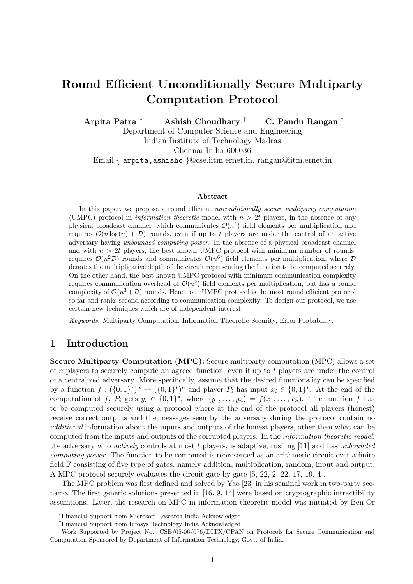# Round Efficient Unconditionally Secure Multiparty Computation Protocol

Arpita Patra <sup>∗</sup> Ashish Choudhary † C. Pandu Rangan ‡

Department of Computer Science and Engineering Indian Institute of Technology Madras

Chennai India 600036

Email:{ arpita,ashishc }@cse.iitm.ernet.in, rangan@iitm.ernet.in

#### Abstract

In this paper, we propose a round efficient *unconditionally secure multiparty computation* (UMPC) protocol in *information theoretic* model with  $n > 2t$  players, in the absence of any physical broadcast channel, which communicates  $\mathcal{O}(n^4)$  field elements per multiplication and requires  $\mathcal{O}(n \log(n) + \mathcal{D})$  rounds, even if up to t players are under the control of an active adversary having unbounded computing power. In the absence of a physical broadcast channel and with  $n > 2t$  players, the best known UMPC protocol with minimum number of rounds, requires  $\mathcal{O}(n^2\mathcal{D})$  rounds and communicates  $\mathcal{O}(n^6)$  field elements per multiplication, where  $\mathcal{D}$ denotes the multiplicative depth of the circuit representing the function to be computed securely. On the other hand, the best known UMPC protocol with minimum communication complexity requires communication overhead of  $\mathcal{O}(n^2)$  field elements per multiplication, but has a round complexity of  $\mathcal{O}(n^3 + \mathcal{D})$  rounds. Hence our UMPC protocol is the most round efficient protocol so far and ranks second according to communication complexity. To design our protocol, we use certain new techniques which are of independent interest.

Keywords: Multiparty Computation, Information Theoretic Security, Error Probability.

# 1 Introduction

Secure Multiparty Computation (MPC): Secure multiparty computation (MPC) allows a set of n players to securely compute an agreed function, even if up to  $t$  players are under the control of a centralized adversary. More specifically, assume that the desired functionality can be specified by a function  $f: (\{0,1\}^*)^n \to (\{0,1\}^*)^n$  and player  $P_i$  has input  $x_i \in \{0,1\}^*$ . At the end of the computation of f,  $P_i$  gets  $y_i \in \{0,1\}^*$ , where  $(y_1,\ldots,y_n) = f(x_1,\ldots,x_n)$ . The function f has to be computed securely using a protocol where at the end of the protocol all players (honest) receive correct outputs and the messages seen by the adversary during the protocol contain no additional information about the inputs and outputs of the honest players, other than what can be computed from the inputs and outputs of the corrupted players. In the information theoretic model, the adversary who *actively* controls at most  $t$  players, is adaptive, rushing [11] and has *unbounded* computing power. The function to be computed is represented as an arithmetic circuit over a finite field F consisting of five type of gates, namely addition, multiplication, random, input and output. A MPC protocol securely evaluates the circuit gate-by-gate [5, 22, 2, 22, 17, 19, 4].

The MPC problem was first defined and solved by Yao [23] in his seminal work in two-party scenario. The first generic solutions presented in [16, 9, 14] were based on cryptographic intractibility assumtions. Later, the research on MPC in information theoretic model was initiated by Ben-Or

<sup>∗</sup>Financial Support from Microsoft Research India Acknowledged

<sup>†</sup>Financial Support from Infosys Technology India Acknowledged

<sup>‡</sup>Work Supported by Project No. CSE/05-06/076/DITX/CPAN on Protocols for Secure Communication and Computation Sponsored by Department of Information Technology, Govt. of India.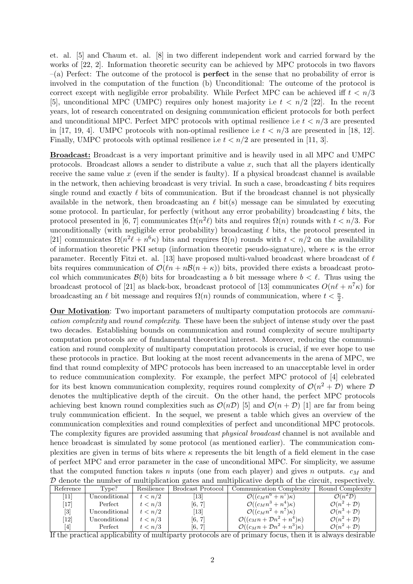et. al. [5] and Chaum et. al. [8] in two different independent work and carried forward by the works of [22, 2]. Information theoretic security can be achieved by MPC protocols in two flavors  $-(a)$  Perfect: The outcome of the protocol is **perfect** in the sense that no probability of error is involved in the computation of the function (b) Unconditional: The outcome of the protocol is correct except with negligible error probability. While Perfect MPC can be achieved iff  $t < n/3$ [5], unconditional MPC (UMPC) requires only honest majority i.e  $t < n/2$  [22]. In the recent years, lot of research concentrated on designing communication efficient protocols for both perfect and unconditional MPC. Perfect MPC protocols with optimal resilience i.e  $t < n/3$  are presented in [17, 19, 4]. UMPC protocols with non-optimal resilience i.e  $t < n/3$  are presented in [18, 12]. Finally, UMPC protocols with optimal resilience i.e  $t < n/2$  are presented in [11, 3].

Broadcast: Broadcast is a very important primitive and is heavily used in all MPC and UMPC protocols. Broadcast allows a sender to distribute a value  $x$ , such that all the players identically receive the same value  $x$  (even if the sender is faulty). If a physical broadcast channel is available in the network, then achieving broadcast is very trivial. In such a case, broadcasting  $\ell$  bits requires single round and exactly  $\ell$  bits of communication. But if the broadcast channel is not physically available in the network, then broadcasting an  $\ell$  bit(s) message can be simulated by executing some protocol. In particular, for perfectly (without any error probability) broadcasting  $\ell$  bits, the protocol presented in [6, 7] communicates  $\Omega(n^2\ell)$  bits and requires  $\Omega(n)$  rounds with  $t < n/3$ . For unconditionally (with negligible error probability) broadcasting  $\ell$  bits, the protocol presented in [21] communicates  $\Omega(n^2\ell+n^6\kappa)$  bits and requires  $\Omega(n)$  rounds with  $t < n/2$  on the availability of information theoretic PKI setup (information theoretic pseudo-signature), where  $\kappa$  is the error parameter. Recently Fitzi et. al. [13] have proposed multi-valued broadcast where broadcast of  $\ell$ bits requires communication of  $\mathcal{O}(\ell n + n\mathcal{B}(n + \kappa))$  bits, provided there exists a broadcast protocol which communicates  $\mathcal{B}(b)$  bits for broadcasting a b bit message where  $b < l$ . Thus using the broadcast protocol of [21] as black-box, broadcast protocol of [13] communicates  $O(n\ell + n^7\kappa)$  for broadcasting an  $\ell$  bit message and requires  $\Omega(n)$  rounds of communication, where  $t < \frac{n}{2}$ .

Our Motivation: Two important parameters of multiparty computation protocols are communication complexity and round complexity. These have been the subject of intense study over the past two decades. Establishing bounds on communication and round complexity of secure multiparty computation protocols are of fundamental theoretical interest. Moreover, reducing the communication and round complexity of multiparty computation protocols is crucial, if we ever hope to use these protocols in practice. But looking at the most recent advancements in the arena of MPC, we find that round complexity of MPC protocols has been increased to an unacceptable level in order to reduce communication complexity. For example, the perfect MPC protocol of [4] celebrated for its best known communication complexity, requires round complexity of  $\mathcal{O}(n^2 + \mathcal{D})$  where  $\mathcal D$ denotes the multiplicative depth of the circuit. On the other hand, the perfect MPC protocols achieving best known round complexities such as  $\mathcal{O}(n\mathcal{D})$  [5] and  $\mathcal{O}(n+\mathcal{D})$  [1] are far from being truly communication efficient. In the sequel, we present a table which gives an overview of the communication complexities and round complexities of perfect and unconditional MPC protocols. The complexity figures are provided assuming that physical broadcast channel is not available and hence broadcast is simulated by some protocol (as mentioned earlier). The communication complexities are given in terms of bits where  $\kappa$  represents the bit length of a field element in the case of perfect MPC and error parameter in the case of unconditional MPC. For simplicity, we assume that the computed function takes n inputs (one from each player) and gives n outputs.  $c_M$  and D denote the number of multiplication gates and multiplicative depth of the circuit, respectively.

| Reference | Type?         | Resilience | Brodcast Protocol | Communication Complexity                             | Round Complexity                 |
|-----------|---------------|------------|-------------------|------------------------------------------------------|----------------------------------|
| 11        | Unconditional | t < n/2    | $\left 13\right $ | $\mathcal{O}((c_M n^6 + n^7)\kappa)$                 | $\mathcal{O}(n^2\mathcal{D})$    |
| 17        | Perfect       | t < n/3    | [6, 7]            | $\mathcal{O}((c_M n^3 + n^4)\kappa)$                 | $\mathcal{O}(n^2+\mathcal{D})$   |
| [3]       | Unconditional | t < n/2    | $\left 13\right $ | $\mathcal{O}((c_M n^2 + n^7) \kappa)$                | $\mathcal{O}(n^3 + \mathcal{D})$ |
| 12        | Unconditional | t < n/3    | [6, 7]            | $\mathcal{O}((c_M n + \mathcal{D} n^2 + n^4)\kappa)$ | $\mathcal{O}(n^2+\mathcal{D})$   |
| [4]       | Perfect       | t < n/3    | [6, 7]            | $\mathcal{O}((c_M n + \mathcal{D} n^2 + n^3)\kappa)$ | $\mathcal{O}(n^2+\mathcal{D})$   |

If the practical applicability of multiparty protocols are of primary focus, then it is always desirable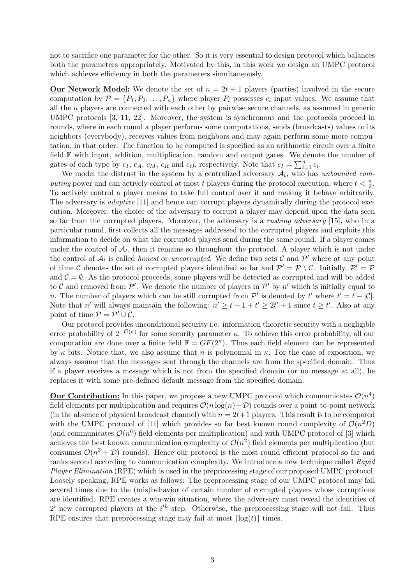not to sacrifice one parameter for the other. So it is very essential to design protocol which balances both the parameters appropriately. Motivated by this, in this work we design an UMPC protocol which achieves efficiency in both the parameters simultaneously.

**Our Network Model:** We denote the set of  $n = 2t + 1$  players (parties) involved in the secure computation by  $\mathcal{P} = \{P_1, P_2, \ldots, P_n\}$  where player  $P_i$  possesses  $c_i$  input values. We assume that all the n players are connected with each other by pairwise secure channels, as assumed in generic UMPC protocols [3, 11, 22]. Moreover, the system is synchronous and the protocols proceed in rounds, where in each round a player performs some computations, sends (broadcasts) values to its neighbors (everybody), receives values from neighbors and may again perform some more computation, in that order. The function to be computed is specified as an arithmetic circuit over a finite field F with input, addition, multiplication, random and output gates. We denote the number of end F with liput, addition, multiplication, random and output gates. We denote that  $c_I = \sum_{i=1}^{n} a_i$  $_{i=1}^n c_i$ .

We model the distrust in the system by a centralized adversary  $A_t$ , who has unbounded computing power and can actively control at most t players during the protocol execution, where  $t < \frac{n}{2}$ . To actively control a player means to take full control over it and making it behave arbitrarily. The adversary is *adaptive* [11] and hence can corrupt players dynamically during the protocol execution. Moreover, the choice of the adversary to corrupt a player may depend upon the data seen so far from the corrupted players. Moreover, the adversary is a rushing adversary [15], who in a particular round, first collects all the messages addressed to the corrupted players and exploits this information to decide on what the corrupted players send during the same round. If a player comes under the control of  $A_t$ , then it remains so throughout the protocol. A player which is not under the control of  $A_t$  is called *honest* or *uncorrupted*. We define two sets C and P' where at any point of time C denotes the set of corrupted players identified so far and  $\mathcal{P}' = \mathcal{P} \setminus \mathcal{C}$ . Initially,  $\mathcal{P}' = \mathcal{P}$ and  $\mathcal{C} = \emptyset$ . As the protocol proceeds, some players will be detected as corrupted and will be added to C and removed from  $\mathcal{P}'$ . We denote the number of players in  $\mathcal{P}'$  by n' which is initially equal to *n*. The number of players which can be still corrupted from  $\mathcal{P}'$  is denoted by t' where  $t' = t - |\mathcal{C}|$ . Note that n' will always maintain the following:  $n' \ge t + 1 + t' \ge 2t' + 1$  since  $t \ge t'$ . Also at any point of time  $P = P' \cup C$ .

Our protocol provides unconditional security i.e. information theoretic security with a negligible error probability of  $2^{-\mathcal{O}(\kappa)}$  for some security parameter  $\kappa$ . To achieve this error probability, all our computation are done over a finite field  $\mathbb{F} = GF(2^{\kappa})$ . Thus each field element can be represented by  $\kappa$  bits. Notice that, we also assume that n is polynomial in  $\kappa$ . For the ease of exposition, we always assume that the messages sent through the channels are from the specified domain. Thus if a player receives a message which is not from the specified domain (or no message at all), he replaces it with some pre-defined default message from the specified domain.

**Our Contribution:** In this paper, we propose a new UMPC protocol which communicates  $\mathcal{O}(n^4)$ field elements per multiplication and requires  $\mathcal{O}(n \log(n) + \mathcal{D})$  rounds over a point-to-point network (in the absence of physical broadcast channel) with  $n = 2t+1$  players. This result is to be compared with the UMPC protocol of [11] which provides so far best known round complexity of  $\mathcal{O}(n^2D)$ (and communicates  $\mathcal{O}(n^6)$  field elements per multiplication) and with UMPC protocol of [3] which achieves the best known communication complexity of  $\mathcal{O}(n^2)$  field elements per multiplication (but consumes  $\mathcal{O}(n^3 + \mathcal{D})$  rounds). Hence our protocol is the most round efficient protocol so far and ranks second according to communication complexity. We introduce a new technique called Rapid Player Elimination (RPE) which is used in the preprocessing stage of our proposed UMPC protocol. Loosely speaking, RPE works as follows: The preprocessing stage of our UMPC protocol may fail several times due to the (mis)behavior of certain number of corrupted players whose corruptions are identified. RPE creates a win-win situation, where the adversary must reveal the identities of  $2^i$  new corrupted players at the  $i^{th}$  step. Otherwise, the preprocessing stage will not fail. Thus RPE ensures that preprocessing stage may fail at most  $\lceil \log(t) \rceil$  times.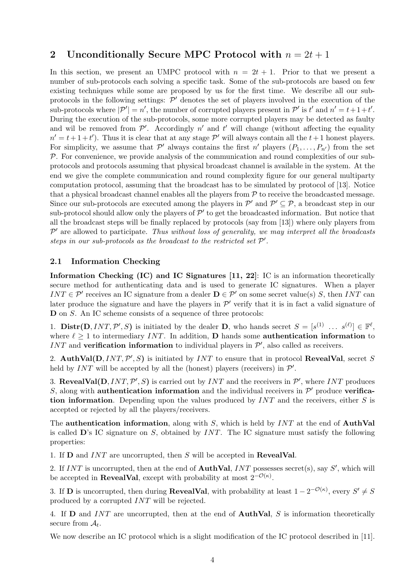# 2 Unconditionally Secure MPC Protocol with  $n = 2t + 1$

In this section, we present an UMPC protocol with  $n = 2t + 1$ . Prior to that we present a number of sub-protocols each solving a specific task. Some of the sub-protocols are based on few existing techniques while some are proposed by us for the first time. We describe all our subprotocols in the following settings:  $\mathcal{P}'$  denotes the set of players involved in the execution of the sub-protocols where  $|\mathcal{P}'| = n'$ , the number of corrupted players present in  $\mathcal{P}'$  is t' and  $n' = t + 1 + t'$ . During the execution of the sub-protocols, some more corrupted players may be detected as faulty and wil be removed from  $\mathcal{P}'$ . Accordingly n' and t' will change (without affecting the equality  $n' = t + 1 + t'$ ). Thus it is clear that at any stage  $\mathcal{P}'$  will always contain all the  $t + 1$  honest players. For simplicity, we assume that  $\mathcal{P}'$  always contains the first n' players  $(P_1, \ldots, P_{n'})$  from the set  $P$ . For convenience, we provide analysis of the communication and round complexities of our subprotocols and protocols assuming that physical broadcast channel is available in the system. At the end we give the complete communication and round complexity figure for our general multiparty computation protocol, assuming that the broadcast has to be simulated by protocol of [13]. Notice that a physical broadcast channel enables all the players from  $P$  to receive the broadcasted message. Since our sub-protocols are executed among the players in  $\mathcal{P}'$  and  $\mathcal{P}' \subseteq \mathcal{P}$ , a broadcast step in our sub-protocol should allow only the players of  $\mathcal{P}'$  to get the broadcasted information. But notice that all the broadcast steps will be finally replaced by protocols (say from [13]) where only players from  $\mathcal{P}'$  are allowed to participate. Thus without loss of generality, we may interpret all the broadcasts steps in our sub-protocols as the broadcast to the restricted set  $\mathcal{P}'$ .

## 2.1 Information Checking

Information Checking (IC) and IC Signatures [11, 22]: IC is an information theoretically secure method for authenticating data and is used to generate IC signatures. When a player INT  $\in \mathcal{P}'$  receives an IC signature from a dealer  $\mathbf{D} \in \mathcal{P}'$  on some secret value(s) S, then INT can later produce the signature and have the players in  $\mathcal{P}'$  verify that it is in fact a valid signature of D on S. An IC scheme consists of a sequence of three protocols:

1. **Distr(D**, INT, P', S) is initiated by the dealer **D**, who hands secret  $S = [s^{(1)} \dots s^{(\ell)}] \in \mathbb{F}^{\ell}$ , where  $\ell \geq 1$  to intermediary INT. In addition, D hands some **authentication information** to INT and verification information to individual players in  $\mathcal{P}'$ , also called as receivers.

2. AuthVal(D,  $INT, \mathcal{P}', S$ ) is initiated by  $INT$  to ensure that in protocol RevealVal, secret S held by  $INT$  will be accepted by all the (honest) players (receivers) in  $\mathcal{P}'$ .

3. RevealVal(D, INT,  $\mathcal{P}', S$ ) is carried out by INT and the receivers in  $\mathcal{P}',$  where INT produces S, along with **authentication information** and the individual receivers in  $\mathcal{P}'$  produce verification information. Depending upon the values produced by  $INT$  and the receivers, either S is accepted or rejected by all the players/receivers.

The **authentication information**, along with S, which is held by  $INT$  at the end of **AuthVal** is called  $\mathbf{D}$ 's IC signature on S, obtained by INT. The IC signature must satisfy the following properties:

1. If  **and**  $INT$  **are uncorrupted, then S will be accepted in <b>RevealVal**.

2. If INT is uncorrupted, then at the end of **AuthVal**, INT possesses secret(s), say  $S'$ , which will be accepted in **RevealVal**, except with probability at most  $2^{-\mathcal{O}(\kappa)}$ .

3. If **D** is uncorrupted, then during **RevealVal**, with probability at least  $1 - 2^{-\mathcal{O}(\kappa)}$ , every  $S' \neq S$ produced by a corrupted INT will be rejected.

4. If **D** and INT are uncorrupted, then at the end of **AuthVal**, S is information theoretically secure from  $A_t$ .

We now describe an IC protocol which is a slight modification of the IC protocol described in [11].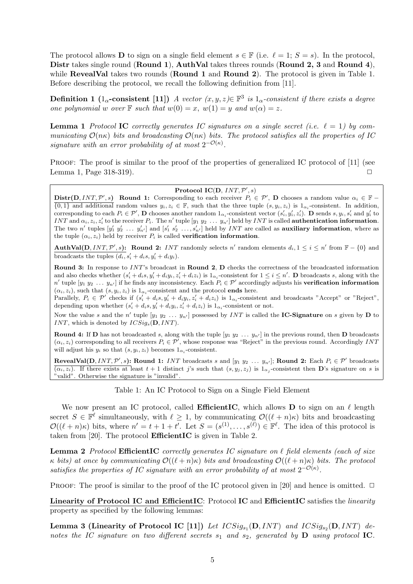The protocol allows **D** to sign on a single field element  $s \in \mathbb{F}$  (i.e.  $\ell = 1$ ;  $S = s$ ). In the protocol, Distr takes single round (Round 1), AuthVal takes threes rounds (Round 2, 3 and Round 4), while **RevealVal** takes two rounds (**Round 1** and **Round 2**). The protocol is given in Table 1. Before describing the protocol, we recall the following definition from [11].

**Definition 1** ( $1_{\alpha}$ -consistent [11]) A vector  $(x, y, z) \in \mathbb{F}^3$  is  $1_{\alpha}$ -consistent if there exists a degree one polynomial w over  $\mathbb F$  such that  $w(0) = x$ ,  $w(1) = y$  and  $w(\alpha) = z$ .

**Lemma 1** Protocol **IC** correctly generates IC signatures on a single secret (i.e.  $\ell = 1$ ) by communicating  $\mathcal{O}(n\kappa)$  bits and broadcasting  $\mathcal{O}(n\kappa)$  bits. The protocol satisfies all the properties of IC signature with an error probability of at most  $2^{-\mathcal{O}(\kappa)}$ .

PROOF: The proof is similar to the proof of the properties of generalized IC protocol of [11] (see Lemma 1, Page 318-319).  $\Box$ 

#### Protocol IC(D,  $INT, \mathcal{P}', s)$

 $\text{Distr}(D, INT, P', s)$  Round 1: Corresponding to each receiver  $P_i \in \mathcal{P}', D$  chooses a random value  $\alpha_i \in \mathbb{F}$  $\{0,1\}$  and additional random values  $y_i, z_i \in \mathbb{F}$ , such that the three tuple  $(s, y_i, z_i)$  is  $1_{\alpha_i}$ -consistent. In addition, corresponding to each  $P_i \in \mathcal{P}'$ , **D** chooses another random  $1_{\alpha_i}$ -consistent vector  $(s'_i, y'_i, z'_i)$ . **D** sends  $s, y_i, s'_i$  and  $y'_i$  to INT and  $\alpha_i, z_i, z'_i$  to the receiver  $P_i$ . The n' tuple  $[y_1 \ y_2 \dots y_{n'}]$  held by INT is called **authentication information**. The two n' tuples  $[y'_1 \ y'_2 \dots y'_{n'}]$  and  $[s'_1 \ s'_2 \dots, s'_{n'}]$  held by INT are called as **auxiliary information**, where as the tuple  $(\alpha_i, z_i)$  held by receiver  $P_i$  is called **verification information**.

**AuthVal(D, INT, P', s):** Round 2: INT randomly selects n' random elements  $d_i, 1 \leq i \leq n'$  from  $\mathbb{F} - \{0\}$  and broadcasts the tuples  $(d_i, s'_i + d_i s, y'_i + d_i y_i)$ .

Round 3: In response to INT's broadcast in Round 2, D checks the correctness of the broadcasted information and also checks whether  $(s'_i + d_i s, y'_i + d_i y_i, z'_i + d_i z_i)$  is  $1_{\alpha_i}$ -consistent for  $1 \leq i \leq n'$ . **D** broadcasts s, along with the n' tuple  $[y_1 \ y_2 \dots y_{n'}]$  if he finds any inconsistency. Each  $P_i \in \mathcal{P}'$  accordingly adjusts his **verification information**  $(\alpha_i, z_i)$ , such that  $(s, y_i, z_i)$  is  $1_{\alpha_i}$ -consistent and the protocol **ends** here.

Parallely,  $P_i \in \mathcal{P}'$  checks if  $(s'_i + d_i s, y'_i + d_i y_i, z'_i + d_i z_i)$  is  $1_{\alpha_i}$ -consistent and broadcasts "Accept" or "Reject", depending upon whether  $(s'_i + d_i s, y'_i + d_i y_i, z'_i + d_i z_i)$  is  $1_{\alpha_i}$ -consistent or not.

Now the value s and the n' tuple  $[y_1 y_2 \ldots y_{n'}]$  possessed by INT is called the **IC-Signature** on s given by **D** to INT, which is denoted by  $ICSig_s(D, INT)$ .

**Round 4:** If **D** has not broadcasted s, along with the tuple  $[y_1 y_2 \ldots y_{n'}]$  in the previous round, then **D** broadcasts  $(\alpha_i, z_i)$  corresponding to all receivers  $P_i \in \mathcal{P}'$ , whose response was "Reject" in the previous round. Accordingly INT will adjust his  $y_i$  so that  $(s, y_i, z_i)$  becomes  $1_{\alpha_i}$ -consistent.

**RevealVal(D, INT, P', s): Round 1:** INT broadcasts s and  $[y_1 \ y_2 \dots y_{n'}]$ ; **Round 2:** Each  $P_i \in \mathcal{P}'$  broadcasts  $(\alpha_i, z_i)$ . If there exists at least  $t + 1$  distinct j's such that  $(s, y_j, z_j)$  is  $1_{\alpha_j}$ -consistent then **D**'s signature on s is "valid". Otherwise the signature is "invalid".

Table 1: An IC Protocol to Sign on a Single Field Element

We now present an IC protocol, called **EfficientIC**, which allows **D** to sign on an  $\ell$  length secret  $S \in \mathbb{F}^{\ell}$  simultaneously, with  $\ell \geq 1$ , by communicating  $\mathcal{O}((\ell + n)\kappa)$  bits and broadcasting  $\mathcal{O}((\ell+n)\kappa)$  bits, where  $n' = t + 1 + t'$ . Let  $S = (s^{(1)}, \ldots, s^{(\ell)}) \in \mathbb{F}^{\ell}$ . The idea of this protocol is taken from [20]. The protocol EfficientIC is given in Table 2.

**Lemma 2** Protocol EfficientIC correctly generates IC signature on  $\ell$  field elements (each of size κ bits) at once by communicating  $\mathcal{O}((\ell + n)\kappa)$  bits and broadcasting  $\mathcal{O}((\ell + n)\kappa)$  bits. The protocol satisfies the properties of IC signature with an error probability of at most  $2^{-\mathcal{O}(\kappa)}$ .

PROOF: The proof is similar to the proof of the IC protocol given in [20] and hence is omitted.  $\Box$ 

Linearity of Protocol IC and EfficientIC: Protocol IC and EfficientIC satisfies the linearity property as specified by the following lemmas:

Lemma 3 (Linearity of Protocol IC [11]) Let  $ICSig_{s_1}(\mathbf{D},INT)$  and  $ICSig_{s_2}(\mathbf{D},INT)$  denotes the IC signature on two different secrets  $s_1$  and  $s_2$ , generated by  $\bf{D}$  using protocol IC.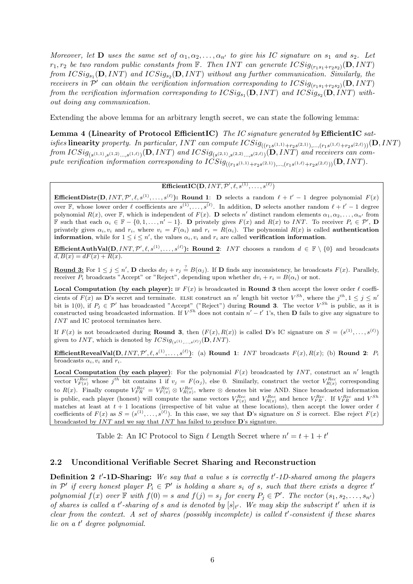Moreover, let **D** uses the same set of  $\alpha_1, \alpha_2, \ldots, \alpha_{n'}$  to give his IC signature on  $s_1$  and  $s_2$ . Let  $r_1, r_2$  be two random public constants from  $\mathbb F$ . Then INT can generate  $ICSig_{(r_1s_1+r_2s_2)}(\mathbf{D}, INT)$ from  $ICSig_{s_1}(\mathbf{D}, INT)$  and  $ICSig_{s_2}(\mathbf{D}, INT)$  without any further communication. Similarly, the receivers in  $\mathcal{P}'$  can obtain the verification information corresponding to  $ICSig_{(r_1s_1+r_2s_2)}(\mathbf{D}, INT)$ from the verification information corresponding to  $ICSig_{s_1}(\mathbf{D}, INT)$  and  $ICSig_{s_2}(\mathbf{D}, INT)$  without doing any communication.

Extending the above lemma for an arbitrary length secret, we can state the following lemma:

Lemma 4 (Linearity of Protocol EfficientIC) The IC signature generated by EfficientIC sat $is fies$  linearity property. In particular, INT can compute  $ICSig_{((r_1s^{(1,1)}+r_2s^{(2,1)}),...,(r_1s^{(1,\ell)}+r_2s^{(2,\ell)}))}(\mathbf{D}, INT)$ from  $ICSig_{(s^{(1,1)},s^{(1,2)}...,s^{(1,\ell)})}(\mathbf{D},INT)$  and  $ICSig_{(s^{(2,1)},s^{(2,2)}...,s^{(2,\ell)})}(\mathbf{D},INT)$  and receivers can compute verification information corresponding to  $ICSig_{((r_1s^{(1,1)}+r_2s^{(2,1)}),...,(r_1s^{(1,\ell)}+r_2s^{(2,\ell)}))}(\mathbf{D}, INT)$ .

 $\mathbf{EfficientIC}(\mathbf{D}, INT, \mathcal{P}', \ell, s^{(1)}, \dots, s^{(\ell)})$ 

**Efficient Distr(D, INT, P',**  $\ell$ **,**  $s^{(1)}, \ldots, s^{(\ell)}$ **): Round 1: D selects a random**  $\ell + t' - 1$  **degree polynomial**  $F(x)$ over F, whose lower order  $\ell$  coefficients are  $s^{(1)}, \ldots, s^{(\ell)}$ . In addition, **D** selects another random  $\ell + t' - 1$  degree polynomial  $R(x)$ , over F, which is independent of  $F(x)$ . **D** selects n' distinct random elements  $\alpha_1, \alpha_2, \ldots, \alpha_{n'}$  from **F** such that each  $\alpha_i \in \mathbb{F} - \{0, 1, \ldots, n' - 1\}$ . D privately gives  $F(x)$  and  $R(x)$  to INT. To receiver  $P_i \in \mathcal{P}'$ , D privately gives  $\alpha_i, v_i$  and  $r_i$ , where  $v_i = F(\alpha_i)$  and  $r_i = R(\alpha_i)$ . The polynomial  $R(x)$  is called **authentication information**, while for  $1 \leq i \leq n'$ , the values  $\alpha_i, v_i$  and  $r_i$  are called **verification information**.

**EfficientAuthVal(D,** INT,  $\mathcal{P}', \ell, s^{(1)}, \ldots, s^{(\ell)}$ ): Round 2: INT chooses a random  $d \in \mathbb{F} \setminus \{0\}$  and broadcasts  $\overline{d, B(x)} = dF(x) + R(x).$ 

**Round 3:** For  $1 \leq j \leq n'$ , **D** checks  $dv_j + r_j \stackrel{?}{=} B(\alpha_j)$ . If **D** finds any inconsistency, he broadcasts  $F(x)$ . Parallely, receiver  $P_i$  broadcasts "Accept" or "Reject", depending upon whether  $dv_i + r_i = B(\alpha_i)$  or not.

**Local Computation (by each player):** If  $F(x)$  is broadcasted in **Round 3** then accept the lower order  $\ell$  coefficients of  $F(x)$  as D's secret and terminate. ELSE construct an n' length bit vector  $V^{Sh}$ , where the  $j^{th}$ ,  $1 \leq j \leq n'$ bit is 1(0), if  $P_i \in \mathcal{P}'$  has broadcasted "Accept" ("Reject") during **Round 3.** The vector  $V^{Sh}$  is public, as it is constructed using broadcasted information. If  $V^{Sh}$  does not contain  $n'-t'$  1's, then **D** fails to give any signature to INT and IC protocol terminates here.

If  $F(x)$  is not broadcasted during **Round 3**, then  $(F(x), R(x))$  is called **D**'s IC signature on  $S = (s^{(1)}, \ldots, s^{(\ell)})$ given to INT, which is denoted by  $ICSig_{(s^{(1)},...,s^{(\ell)})}(\mathbf{D}, INT)$ .

**Efficient RevealVal(D**,  $INT, \mathcal{P}', \ell, s^{(1)}, \ldots, s^{(\ell)}$ ): (a) **Round 1**: INT broadcasts  $F(x)$ ,  $R(x)$ ; (b) **Round 2**:  $P_i$ broadcasts  $\alpha_i, v_i$  and  $r_i$ .

**Local Computation (by each player)**: For the polynomial  $F(x)$  broadcasted by INT, construct an n' length vector  $V_{F(x)}^{Rec}$  whose  $j^{th}$  bit contains 1 if  $v_j = F(\alpha_j)$ , else 0. Similarly, construct the vector  $V_{R(x)}^{Rec}$  corresponding to  $R(x)$ . Finally compute  $V_{FR}^{Rec} = V_{F(x)}^{Rec} \otimes V_{R(x)}^{Rec}$ , where  $\otimes$  denotes bit wise AND. Since broadcasted information is public, each player (honest) will compute the same vectors  $V_{F(x)}^{Rec}$  and  $V_{R(x)}^{Rec}$  and hence  $V_{FR}^{Rec}$ . If  $V_{FR}^{Rec}$  and  $V^{Sh}$ matches at least at  $t + 1$  locations (irrespective of bit value at these locations), then accept the lower order  $\ell$ coefficients of  $F(x)$  as  $S = (s^{(1)}, \ldots, s^{(\ell)})$ . In this case, we say that **D**'s signature on S is correct. Else reject  $F(x)$ broadcasted by INT and we say that INT has failed to produce D's signature.

Table 2: An IC Protocol to Sign  $\ell$  Length Secret where  $n' = t + 1 + t'$ 

#### 2.2 Unconditional Verifiable Secret Sharing and Reconstruction

**Definition 2** t'-1D-Sharing: We say that a value s is correctly t'-1D-shared among the players in  $\mathcal{P}'$  if every honest player  $P_i \in \mathcal{P}'$  is holding a share  $s_i$  of s, such that there exists a degree t' polynomial  $f(x)$  over  $\mathbb F$  with  $f(0) = s$  and  $f(j) = s_j$  for every  $P_j \in \mathcal P'$ . The vector  $(s_1, s_2, \ldots, s_{n'})$ of shares is called a t'-sharing of s and is denoted by  $[s]_{t'}$ . We may skip the subscript t' when it is  $clear from the context. A set of shares (possibly incomplete) is called t'-consistent if these shares$ lie on a t' degree polynomial.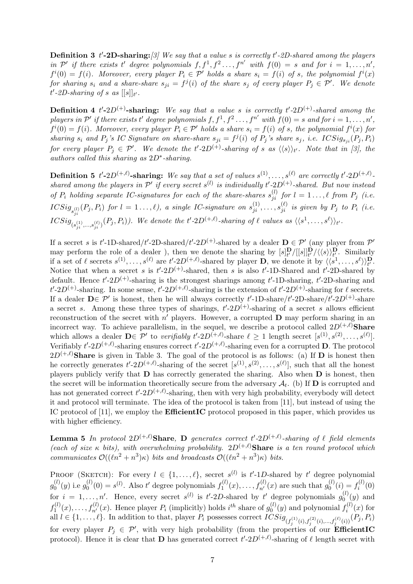**Definition 3** t'-2D-sharing: [3] We say that a value s is correctly t'-2D-shared among the players in  $\mathcal{P}'$  if there exists t' degree polynomials  $f, f^1, f^2, \ldots, f^{n'}$  with  $f(0) = s$  and for  $i = 1, \ldots, n'$ ,  $f^{i}(0) = f(i)$ . Moreover, every player  $P_i \in \mathcal{P}'$  holds a share  $s_i = f(i)$  of s, the polynomial  $f^{i}(x)$ for sharing  $s_i$  and a share-share  $s_{ji} = f^j(i)$  of the share  $s_j$  of every player  $P_j \in \mathcal{P}'$ . We denote  $t'$ -2D-sharing of s as  $[[s]]_{t'}$ .

**Definition 4** t'-2D<sup>(+)</sup>-sharing: We say that a value s is correctly t'-2D<sup>(+)</sup>-shared among the players in  $\mathcal{P}'$  if there exists t' degree polynomials  $f, f^1, f^2, \ldots, f^{n'}$  with  $f(0) = s$  and for  $i = 1, \ldots, n'$ ,  $f^{i}(0) = f(i)$ . Moreover, every player  $P_i \in \mathcal{P}'$  holds a share  $s_i = f(i)$  of s, the polynomial  $f^{i}(x)$  for sharing  $s_i$  and  $P_j$ 's IC Signature on share-share  $s_{ji} = f^j(i)$  of  $P_j$ 's share  $s_j$ , i.e. ICSig $s_{ji}(P_j, P_i)$ for every player  $P_j \in \mathcal{P}'$ . We denote the t'-2D<sup>(+)</sup>-sharing of s as  $\langle\langle s \rangle\rangle_{t'}$ . Note that in [3], the authors called this sharing as  $2D^*$ -sharing.

**Definition 5** t'-2D<sup>(+, $\ell$ )-sharing: We say that a set of values  $s^{(1)}, \ldots, s^{(\ell)}$  are correctly t'-2D<sup>(+, $\ell$ )</sup>-</sup> shared among the players in  $\mathcal{P}'$  if every secret s<sup>(l)</sup> is individually t'-2D<sup>(+)</sup>-shared. But now instead of  $P_i$  holding separate IC-signatures for each of the share-shares  $s_{ji}^{(l)}$  for  $l = 1 \ldots, \ell$  from  $P_j$  (i.e.  $\mathit{ICSig}_{s_{ji}^{(l)}}(P_j,P_i) \ \textit{for} \ \ l=1\ldots,\ell), \ \textit{a single IC-signature on} \ \ s_{ji}^{(1)},\ldots,s_{ji}^{(\ell)} \ \textit{is given by} \ \ P_j \ \textit{to} \ \ P_i \ \textit{(i.e.})$  $\mathit{ICSig}_{(s_{ji}^{(1)},...,s_{ji}^{(\ell)})}(P_j,P_i)$ ). We denote the t'-2D<sup>(+, $\ell$ )</sup>-sharing of  $\ell$  values as  $\langle\langle s^1,...,s^\ell\rangle\rangle_{t'}$ .

If a secret s is t'-1D-shared/t'-2D-shared/t'-2D<sup>(+)</sup>-shared by a dealer  $\mathbf{D} \in \mathcal{P}'$  (any player from  $\mathcal{P}'$ ) may perform the role of a dealer), then we denote the sharing by  $[s]_t^{\mathbf{D}} / ([s]]_t^{\mathbf{D}} / \langle \langle s \rangle \rangle_t^{\mathbf{D}}$ . Similarly if a set of  $\ell$  secrets  $s^{(1)}, \ldots, s^{(\ell)}$  are  $t'$ -2 $D^{(+,\ell)}$ -shared by player **D**, we denote it by  $\langle \langle s^1, \ldots, s^{\ell} \rangle \rangle_t^{\mathbf{D}}$ . Notice that when a secret s is  $t'$ -2D<sup>(+)</sup>-shared, then s is also  $t'$ -1D-Shared and  $t'$ -2D-shared by default. Hence  $t'$ -2D<sup>(+)</sup>-sharing is the strongest sharings among  $t'$ -1D-sharing,  $t'$ -2D-sharing and  $t'$ -2D<sup>(+)</sup>-sharing. In some sense,  $t'$ -2D<sup>(+, $\ell$ )</sup>-sharing is the extension of  $t'$ -2D<sup>(+)</sup>-sharing for  $\ell$  secrets. If a dealer  $D \in \mathcal{P}'$  is honest, then he will always correctly t'-1D-share/t'-2D-share/t'-2D<sup>(+)</sup>-share a secret s. Among these three types of sharings,  $t'\text{-}2D^{(+)}$ -sharing of a secret s allows efficient reconstruction of the secret with  $n'$  players. However, a corrupted  $\bf{D}$  may perform sharing in an incorrect way. To achieve parallelism, in the sequel, we describe a protocol called  $2D^{(+,\ell)}$ Share which allows a dealer  $\mathbf{D} \in \mathcal{P}'$  to verifiably  $t' \text{-} 2D^{(+,\ell)}$ -share  $\ell \geq 1$  length secret  $[s^{(1)}, s^{(2)}, \ldots, s^{(\ell)}].$ Verifiably  $t'$ -2 $D^{(+,\ell)}$ -sharing ensures correct  $t'$ -2 $D^{(+,\ell)}$ -sharing even for a corrupted **D**. The protocol  $2D^{(+,\ell)}$ **Share** is given in Table 3. The goal of the protocol is as follows: (a) If **D** is honest then he correctly generates  $t'$ -2D<sup>(+, $\ell$ )</sup>-sharing of the secret  $[s^{(1)}, s^{(2)}, \ldots, s^{(\ell)}]$ , such that all the honest players publicly verify that D has correctly generated the sharing. Also when D is honest, then the secret will be information theoretically secure from the adversary  $\mathcal{A}_t$ . (b) If **D** is corrupted and has not generated correct  $t'$ -2 $D^{(+,\ell)}$ -sharing, then with very high probability, everybody will detect it and protocol will terminate. The idea of the protocol is taken from [11], but instead of using the IC protocol of [11], we employ the **EfficientIC** protocol proposed in this paper, which provides us with higher efficiency.

**Lemma 5** In protocol  $2D^{(+,\ell)}$ **Share, D** generates correct t'- $2D^{(+,\ell)}$ -sharing of  $\ell$  field elements (each of size  $\kappa$  bits), with overwhelming probability.  $2D^{(+,\ell)}$ Share is a ten round protocol which communicates  $\mathcal{O}((\ell n^2 + n^3)\kappa)$  bits and broadcasts  $\mathcal{O}((\ell n^2 + n^3)\kappa)$  bits.

PROOF (SKETCH): For every  $l \in \{1,\ldots,\ell\}$ , secret  $s^{(l)}$  is  $t'$ -1D-shared by  $t'$  degree polynomial  $g_0^{(l)}$  $g_0^{(l)}(y)$  i.e  $g_0^{(l)}$  $\mathbf{C}_0^{(l)}(0) = s^{(l)}$ . Also t' degree polynomials  $f_1^{(l)}$  $f_1^{(l)}(x), \ldots, f_{n'}^{(l)}(x)$  are such that  $g_0^{(l)}$  $f_0^{(l)}(i) = f_i^{(l)}$  $\binom{(\ell)}{i}(0)$ for  $i = 1, \ldots, n'$ . Hence, every secret  $s^{(l)}$  is  $t'$ -2D-shared by  $t'$  degree polynomials  $g_0^{(l)}(y)$  and  $\overline{0}$  $f_1^{(l)}$  $I_1^{(l)}(x), \ldots, f_{n'}^{(l)}(x)$ . Hence player  $P_i$  (implicitly) holds  $i^{th}$  share of  $g_0^{(l)}$  $\binom{0}{0}(y)$  and polynomial  $f_i^{(l)}$  $i^{(l)}(x)$  for all  $l \in \{1, \ldots, \ell\}$ . In addition to that, player  $P_i$  possesses correct  $ICSig_{(f_j^{(1)}(i), f_j^{(2)}(i), \ldots, f_j^{(\ell)}(i))}(P_j, P_i)$ for every player  $P_j \in \mathcal{P}'$ , with very high probability (from the properties of our **EfficientIC** protocol). Hence it is clear that **D** has generated correct  $t'$ -2D<sup>(+, $\ell$ )-sharing of  $\ell$  length secret with</sup>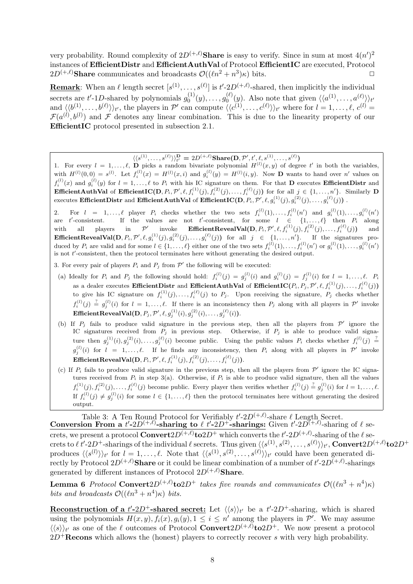very probability. Round complexity of  $2D^{(+,\ell)}$ Share is easy to verify. Since in sum at most  $4(n')^2$ instances of EfficientDistr and EfficientAuthVal of Protocol EfficientIC are executed, Protocol  $2D^{(+,\ell)}$ Share communicates and broadcasts  $\mathcal{O}((\ell n^2 + n^3)\kappa)$  bits.

**Remark**: When an  $\ell$  length secret  $[s^{(1)}, \ldots, s^{(\ell)}]$  is  $t' \text{-} 2D^{(+,\ell)}$ -shared, then implicitly the individual secrets are t'-1D-shared by polynomials  $g_0^{(1)}$  $g_0^{(1)}(y), \ldots, g_0^{(\ell)}$  $\binom{\ell}{0}(y)$ . Also note that given  $\langle\langle a^{(1)},\ldots,a^{(\ell)}\rangle\rangle_{t'}$ and  $\langle\langle b^{(1)}, \ldots, b^{(\ell)} \rangle\rangle_{t'}$ , the players in P' can compute  $\langle\langle c^{(1)}, \ldots, c^{(\ell)} \rangle\rangle_{t'}$  where for  $l = 1, \ldots, \ell, c^{(l)} =$  $\mathcal{F}(a^{(l)},b^{(l)})$  and F denotes any linear combination. This is due to the linearity property of our EfficientIC protocol presented in subsection 2.1.

 $\langle\langle s^{(1)},\ldots,s^{(\ell)}\rangle\rangle_{t'}^{\mathbf{D}} = 2D^{(+,\ell)}\mathbf{Share}(\mathbf{D},\mathcal{P}',t',\ell,s^{(1)},\ldots,s^{(\ell)})$ 

1. For every  $l = 1, \ldots, \ell$ , **D** picks a random bivariate polynomial  $H^{(l)}(x, y)$  of degree t' in both the variables, with  $H^{(l)}(0,0) = s^{(l)}$ . Let  $f_i^{(l)}(x) = H^{(l)}(x,i)$  and  $g_i^{(l)}(y) = H^{(l)}(i,y)$ . Now **D** wants to hand over n' values on  $f_i^{(l)}(x)$  and  $g_i^{(l)}(y)$  for  $l = 1, \ldots, \ell$  to  $P_i$  with his IC signature on them. For that **D** executes **EfficientDistr** and **Efficient AuthVal** of **Efficient IC**( $D, P_i, \mathcal{P}', \ell, f_i^{(1)}(j), f_i^{(2)}(j), \ldots, f_i^{(\ell)}(j)$ ) for for all  $j \in \{1, \ldots, n'\}$ . Similarly **D** executes EfficientDistr and EfficientAuthVal of EfficientIC(D,  $P_i$ ,  $\mathcal{P}', \ell, g_i^{(1)}(j), g_i^{(2)}(j), \ldots, g_i^{(\ell)}(j))$  .

2. For  $l = 1, \ldots, \ell$  player  $P_i$  checks whether the two sets  $f_i^{(l)}(1), \ldots, f_i^{(l)}(n')$  and  $g_i^{(l)}(1), \ldots, g_i^{(l)}(n')$ are t'-consistent. If the values are not t'-consistent, for some  $l \in \{1,\ldots,\ell\}$  then  $P_i$  along with all players in  $\mathcal{P}'$  invoke **EfficientRevealVal** $(D, P_i, \mathcal{P}', \ell, f_i^{(1)}(j), f_i^{(2)}(j), \ldots, f_i^{(\ell)}(j))$  and **Efficient RevealVal**  $(D, P_i, \mathcal{P}', \ell, g_i^{(1)}(j), g_i^{(2)}(j), \ldots, g_i^{(\ell)}(j))$  for all  $j \in \{1, \ldots, n'\}$ . If the signatures produced by  $P_i$  are valid and for some  $l \in \{1, \ldots, \ell\}$  either one of the two sets  $f_i^{(l)}(1), \ldots, f_i^{(l)}(n')$  or  $g_i^{(l)}(1), \ldots, g_i^{(l)}(n')$ is not  $t'$ -consistent, then the protocol terminates here without generating the desired output.

- 3. For every pair of players  $P_i$  and  $P_j$  from  $\mathcal{P}'$  the following will be executed:
- (a) Ideally for  $P_i$  and  $P_j$  the following should hold:  $f_i^{(l)}(j) = g_j^{(l)}(i)$  and  $g_i^{(l)}(j) = f_j^{(l)}(i)$  for  $l = 1, \ldots, \ell$ .  $P_i$ as a dealer executes EfficientDistr and EfficientAuthVal of EfficientIC $(P_i, P_j, \mathcal{P}', \ell, f_i^{(1)}(j), \ldots, f_i^{(\ell)}(j))$ to give his IC signature on  $f_i^{(1)}(j), \ldots, f_i^{(\ell)}(j)$  to  $P_j$ . Upon receiving the signature,  $P_j$  checks whether  $f_i^{(l)}(j) \stackrel{?}{=} g_j^{(l)}(i)$  for  $l = 1, \ldots, \ell$ . If there is an inconsistency then  $P_j$  along with all players in  $\mathcal{P}'$  invoke  $\textbf{EfficientRevealVal}(\textbf{D}, P_j, \mathcal{P}', \ell, g_j^{(1)}(i), g_j^{(2)}(i), \ldots, g_j^{(\ell)}(i)).$
- (b) If  $P_j$  fails to produce valid signature in the previous step, then all the players from  $\mathcal{P}'$  ignore the IC signatures received from  $P_j$  in previous step. Otherwise, if  $P_j$  is able to produce valid signature then  $g_j^{(1)}(i), g_j^{(2)}(i), \ldots, g_j^{(\ell)}(i)$  become public. Using the public values  $P_i$  checks whether  $f_i^{(l)}(j) \stackrel{?}{=}$  $g_j^{(l)}(i)$  for  $l = 1, \ldots, \ell$ . If he finds any inconsistency, then  $P_i$  along with all players in  $\mathcal{P}'$  invoke  $\textbf{EfficientRevealVal}(D, P_i, \mathcal{P}', \ell, f_i^{(1)}(j), f_i^{(2)}(j), \ldots, f_i^{(\ell)}(j)).$
- (c) If  $P_i$  fails to produce valid signature in the previous step, then all the players from  $\mathcal{P}'$  ignore the IC signatures received from  $P_i$  in step 3(a). Otherwise, if  $P_i$  is able to produce valid signature, then all the values  $f_i^{(1)}(j), f_i^{(2)}(j), \ldots, f_i^{(\ell)}(j)$  become public. Every player then verifies whether  $f_i^{(l)}(j) \stackrel{?}{=} g_j^{(l)}(i)$  for  $l = 1, \ldots, \ell$ . If  $f_i^{(l)}(j) \neq g_j^{(l)}(i)$  for some  $l \in \{1, ..., \ell\}$  then the protocol terminates here without generating the desired output.

Table 3: A Ten Round Protocol for Verifiably  $t' \text{-} 2D^{(+,\ell)}$ -share  $\ell$  Length Secret.

Conversion From a  $t'$ -2D<sup>(+, $\ell$ )</sup>-sharing to  $\ell$  t'-2D<sup>+</sup>-sharings: Given t'-2D<sup>(+, $\ell$ )</sup>-sharing of  $\ell$  secrets, we present a protocol  $\bf Convert2D^{(+,\ell)}to2D^+$  which converts the  $t'$ -2 $D^{(+,\ell)}$ -sharing of the  $\ell$  se- $\text{crets to }\ell\,t'$ -2 $D^+$ -sharings of the individual  $\ell$  secrets. Thus given  $\langle\langle s^{(1)},s^{(2)},\ldots,s^{(\ell)}\rangle\rangle_{t'},\mathbf{Convert2}D^{(+,\ell)}$ to2 $D^+$ produces  $\langle \langle s^{(l)} \rangle \rangle_{t'}$  for  $l = 1, \ldots, \ell$ . Note that  $\langle \langle s^{(1)}, s^{(2)}, \ldots, s^{(\ell)} \rangle \rangle_{t'}$  could have been generated directly by Protocol  $2D^{(+,\ell)}$ Share or it could be linear combination of a number of  $t'$ - $2D^{(+,\ell)}$ -sharings generated by different instances of Protocol  $2D^{(+,\ell)}$ Share.

**Lemma 6** Protocol Convert $2D^{(+,\ell)}$ to $2D^+$  takes five rounds and communicates  $\mathcal{O}((\ell n^3 + n^4)\kappa)$ bits and broadcasts  $\mathcal{O}((\ell n^3 + n^4)\kappa)$  bits.

**Reconstruction of a**  $t'$ -2D<sup>+</sup>-shared secret: Let  $\langle\langle s\rangle\rangle_{t'}$  be a  $t'$ -2D<sup>+</sup>-sharing, which is shared using the polynomials  $H(x, y)$ ,  $f_i(x)$ ,  $g_i(y)$ ,  $1 \leq i \leq n'$  among the players in  $\mathcal{P}'$ . We may assume  $\langle\langle s\rangle\rangle_{t'}$  as one of the  $\ell$  outcomes of Protocol Convert2D<sup>(+, $\ell$ )</sup>to2D<sup>+</sup>. We now present a protocol  $2D^{+}$ **Recons** which allows the (honest) players to correctly recover s with very high probability.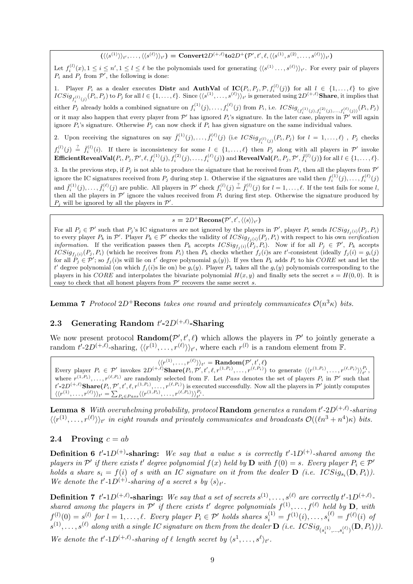$(\langle\langle s^{(1)}\rangle\rangle_{t'},\dots,\langle\langle s^{(\ell)}\rangle\rangle_{t'})= \mathbf{Convert}2D^{(+,\ell)}\mathbf{to}2D^+(\mathcal{P}',t',\ell,\langle\langle s^{(1)},s^{(2)},\dots,s^{(\ell)}\rangle\rangle_{t'})$ 

Let  $f_i^{(l)}(x), 1 \le i \le n', 1 \le l \le \ell$  be the polynomials used for generating  $\langle\langle s^{(1)}, \ldots, s^{(\ell)}\rangle\rangle_{t'}$ . For every pair of players  $P_i$  and  $P_j$  from  $\mathcal{P}'$ , the following is done:

1. Player  $P_i$  as a dealer executes **Distr** and **AuthVal** of  $\mathbf{IC}(P_i, P_j, \mathcal{P}, f_i^{(l)}(j))$  for all  $l \in \{1, ..., l\}$  to give  $ICSig_{f_i^{(l)}(j)}(P_i, P_j)$  to  $P_j$  for all  $l \in \{1, \ldots, \ell\}$ . Since  $\langle \langle s^{(1)}, \ldots, s^{(\ell)} \rangle \rangle_{t'}$  is generated using  $2D^{(+,\ell)}$ Share, it implies that either  $P_j$  already holds a combined signature on  $f_i^{(1)}(j),...,f_i^{(\ell)}(j)$  from  $P_i$ , i.e.  $ICSig_{(f_i^{(1)}(j),f_i^{(2)}(j),...,f_i^{(\ell)}(j))}(P_i,P_j)$ or it may also happen that every player from  $\mathcal{P}'$  has ignored  $P_i$ 's signature. In the later case, players in  $\mathcal{P}'$  will again ignore  $P_i$ 's signature. Otherwise  $P_j$  can now check if  $P_i$  has given signature on the same individual values.

2. Upon receiving the signatures on say  $\bar{f}_i^{(1)}(j), \ldots, \bar{f}_i^{(\ell)}(j)$  (i.e  $ICSig_{\bar{f}_i^{(1)}(j)}(P_i, P_j)$  for  $l = 1, \ldots, \ell)$ ,  $P_j$  checks i  $f_i^{(l)}(j) \stackrel{?}{=} \overline{f}_i^{(l)}(i)$ . If there is inconsistency for some  $l \in \{1,\ldots,\ell\}$  then  $P_j$  along with all players in  $\mathcal{P}'$  invoke

 $\bf{EfficientRevealVal}(P_i, P_j, \mathcal{P}', \ell, f_i^{(1)}(j), f_i^{(2)}(j), \ldots, f_i^{(\ell)}(j)) \text{ and } \bf{RevealVal}(P_i, P_j, \mathcal{P}', \bar{f}_i^{(l)}(j)) \text{ for all } l \in \{1, \ldots, \ell\}.$ 

3. In the previous step, if  $P_j$  is not able to produce the signature that he received from  $P_i$ , then all the players from  $\mathcal{P}'$ ignore the IC signatures received from  $P_j$  during step 1. Otherwise if the signatures are valid then  $f_i^{(1)}(j), \ldots, f_i^{(\ell)}(j)$ and  $\bar{f}_i^{(1)}(j), \ldots, \bar{f}_i^{(\ell)}(j)$  are public. All players in  $\mathcal{P}'$  check  $f_i^{(l)}(j) \stackrel{?}{=} \bar{f}_i^{(l)}(j)$  for  $l = 1, \ldots, \ell$ . If the test fails for some l, then all the players in  $\mathcal{P}'$  ignore the values received from  $P_i$  during first step. Otherwise the signature produced by  $P_j$  will be ignored by all the players in  $\mathcal{P}'$ .

#### $s = 2D^+ \textbf{Recons}(\mathcal{P}', t', \langle \langle s \rangle \rangle_{t'})$

For all  $P_j \in \mathcal{P}'$  such that  $P_j$ 's IC signatures are not ignored by the players in  $\mathcal{P}'$ , player  $P_i$  sends  $ICSig_{f_j(i)}(P_j, P_i)$ to every player  $P_k$  in  $\mathcal{P}'$ . Player  $P_k \in \mathcal{P}'$  checks the validity of  $ICSig_{f_j(i)}(P_j, P_i)$  with respect to his own verification *information*. If the verification passes then  $P_k$  accepts  $ICSig_{f_j(i)}(P_j, P_i)$ . Now if for all  $P_j \in \mathcal{P}'$ ,  $P_k$  accepts  $ICSig_{f_j(i)}(P_j, P_i)$  (which he receives from  $P_i$ ) then  $P_k$  checks whether  $f_j(i)$ s are t'-consistent (ideally  $f_j(i) = g_i(j)$ for all  $P_i \in \mathcal{P}'$ ; so  $f_j(i)$ s will lie on t' degree polynomial  $g_i(y)$ ). If yes then  $P_k$  adds  $P_i$  to his CORE set and let the t' degree polynomial (on which  $f_j(i)$ s lie on) be  $g_i(y)$ . Player  $P_k$  takes all the  $g_i(y)$  polynomials corresponding to the players in his CORE and interpolates the bivariate polynomial  $H(x, y)$  and finally sets the secret  $s = H(0, 0)$ . It is easy to check that all honest players from  $\mathcal{P}'$  recovers the same secret s.

**Lemma 7** Protocol  $2D^+$ **Recons** takes one round and privately communicates  $\mathcal{O}(n^3\kappa)$  bits.

# 2.3 Generating Random  $t'$ -2 $D^{(+,\ell)}$ -Sharing

We now present protocol **Random** $(P', t', \ell)$  which allows the players in P' to jointly generate a random  $t'$ -2 $D^{(+,\ell)}$ -sharing,  $\langle\langle r^{(1)}, \ldots, r^{(\ell)}\rangle\rangle_{t'}$ , where each  $r^{(l)}$  is a random element from F.

 $\langle\langle r^{(1)},\ldots,r^{(\ell)}\rangle\rangle_{t'}=\textbf{Random}(\mathcal{P}',t',\ell)$ Every player  $P_i \in \mathcal{P}'$  invokes  $2D^{(+,\ell)}\textbf{Share}(P_i, \mathcal{P}', t', \ell, r^{(1,P_i)}, \ldots, r^{(\ell,P_i)})$  to generate  $\langle\langle r^{(1,P_i)}, \ldots, r^{(\ell,P_i)}\rangle\rangle_{t'}^{P_i}$ where  $r^{(1,P_i)}, \ldots, r^{(\ell,P_i)}$  are randomly selected from F. Let Pass denotes the set of players  $P_i$  in  $\mathcal{P}'$  such that  $t'$ -2 $D^{(+,\ell)}$ Share $(P_i, \mathcal{P}', t', \ell, r^{(1,P_i)}, \ldots, r^{(\ell,P_i)})$  is executed successfully. Now all the players in  $\mathcal{P}'$  jointly computes  $\langle\langle r^{(1)},\ldots,r^{(\ell)}\rangle\rangle_{t'}=\sum_{P_i\in Pass}\langle\langle r^{(1,P_i)},\ldots,r^{(\ell,P_i)}\rangle\rangle_{t'}^{E_{t'}}.$ 

**Lemma 8** With overwhelming probability, protocol **Random** generates a random t'-2D<sup>(+,e)</sup>-sharing  $\langle\langle r^{(1)},\ldots,r^{(\ell)}\rangle\rangle_{t'}$  in eight rounds and privately communicates and broadcasts  $\mathcal{O}((\ell n^3 + n^4)\kappa)$  bits.

#### 2.4 Proving  $c = ab$

**Definition 6** t'-1D<sup>(+)</sup>-sharing: We say that a value s is correctly t'-1D<sup>(+)</sup>-shared among the players in  $\mathcal{P}'$  if there exists t' degree polynomial  $f(x)$  held by  $\mathbf{D}$  with  $f(0) = s$ . Every player  $P_i \in \mathcal{P}'$ holds a share  $s_i = f(i)$  of s with an IC signature on it from the dealer  $\bf{D}$  (i.e.  $ICSig_{s_i}(D, P_i)$ ). We denote the  $t'$ -1D<sup>(+)</sup>-sharing of a secret s by  $\langle s \rangle_{t'}$ .

**Definition 7** t'-1D<sup>(+, $\ell$ )-sharing: We say that a set of secrets  $s^{(1)}, \ldots, s^{(\ell)}$  are correctly t'-1D<sup>(+, $\ell$ )</sup>-</sup> shared among the players in  $\mathcal{P}'$  if there exists t' degree polynomials  $f^{(1)}, \ldots, f^{(\ell)}$  held by  $\mathbf{D}$ , with  $f^{(l)}(0) = s^{(l)}$  for  $l = 1, \ldots, \ell$ . Every player  $P_i \in \mathcal{P}'$  holds shares  $s_i^{(1)} = f^{(1)}(i), \ldots, s_i^{(\ell)} = f^{(\ell)}(i)$  of  $s^{(1)},\ldots,s^{(\ell)}$  along with a single IC signature on them from the dealer  ${\bf D}$  (i.e.  $ICSig_{(s_i^{(1)},\ldots,s_i^{(\ell)})}({\bf D},P_i))).$ We denote the  $t' \text{-} 1D^{(+,\ell)}$ -sharing of  $\ell$  length secret by  $\langle s^1, \ldots, s^\ell \rangle_{t'}$ .

9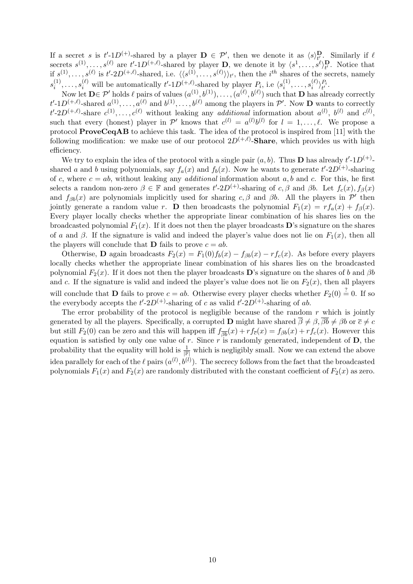If a secret s is  $t' \text{-}1D^{(+)}$ -shared by a player  $\mathbf{D} \in \mathcal{P}'$ , then we denote it as  $\langle s \rangle_{t'_{\alpha}}^{\mathbf{D}}$ . Similarly if  $\ell$ secrets  $s^{(1)}, \ldots, s^{(\ell)}$  are  $t'$ -1 $D^{(+,\ell)}$ -shared by player **D**, we denote it by  $\langle s^1, \ldots, s^{\ell} \rangle_t^{\mathbf{D}}$ . Notice that if  $s^{(1)}, \ldots, s^{(\ell)}$  is  $t' \text{-} 2D^{(+,\ell)}$ -shared, i.e.  $\langle \langle s^{(1)}, \ldots, s^{(\ell)} \rangle \rangle_{t'}$ , then the  $i^{th}$  shares of the secrets, namely  $s_i^{(1)}$  $i_1^{(1)}, \ldots, s_i^{(\ell)}$  will be automatically  $t'$ -1 $D^{(+,\ell)}$ -shared by player  $P_i$ , i.e  $\langle s_i^{(1)} \rangle$  $s_i^{(1)}, \ldots, s_i^{(\ell)}$  $\genfrac{(}{)}{0pt}{}{\ell}{i}\genfrac{)}{0pt}{}{P_i}{t'}$ 

Now let  $\mathbf{D} \in \mathcal{P}'$  holds  $\ell$  pairs of values  $(a^{(1)}, b^{(1)}), \ldots, (a^{(\ell)}, b^{(\ell)})$  such that  $\mathbf{D}$  has already correctly  $t'$ -1 $D^{(+,\ell)}$ -shared  $a^{(1)}, \ldots, a^{(\ell)}$  and  $b^{(1)}, \ldots, b^{(\ell)}$  among the players in  $\mathcal{P}'$ . Now **D** wants to correctly  $t'$ -2D<sup>(+, $\ell$ )</sup>-share  $c^{(1)}, \ldots, c^{(\ell)}$  without leaking any *additional* information about  $a^{(l)}$ ,  $b^{(l)}$  and  $c^{(l)}$ , such that every (honest) player in  $\mathcal{P}'$  knows that  $c^{(l)} = a^{(l)}b^{(l)}$  for  $l = 1, \ldots, \ell$ . We propose a protocol ProveCeqAB to achieve this task. The idea of the protocol is inspired from [11] with the following modification: we make use of our protocol  $2D^{(+,\ell)}$ -Share, which provides us with high efficiency.

We try to explain the idea of the protocol with a single pair  $(a, b)$ . Thus **D** has already  $t' \text{-} 1D^{(+)}$ . shared a and b using polynomials, say  $f_a(x)$  and  $f_b(x)$ . Now he wants to generate  $t'$ -2 $D^{(+)}$ -sharing of c, where  $c = ab$ , without leaking any *additional* information about a, b and c. For this, he first selects a random non-zero  $\beta \in \mathbb{F}$  and generates  $t'$ -2D<sup>(+)</sup>-sharing of c,  $\beta$  and  $\beta b$ . Let  $f_c(x)$ ,  $f_{\beta}(x)$ and  $f_{\beta b}(x)$  are polynomials implicitly used for sharing c,  $\beta$  and  $\beta b$ . All the players in  $\mathcal{P}'$  then jointly generate a random value r. D then broadcasts the polynomial  $F_1(x) = rf_a(x) + f_\beta(x)$ . Every player locally checks whether the appropriate linear combination of his shares lies on the broadcasted polynomial  $F_1(x)$ . If it does not then the player broadcasts **D**'s signature on the shares of a and  $\beta$ . If the signature is valid and indeed the player's value does not lie on  $F_1(x)$ , then all the players will conclude that **D** fails to prove  $c = ab$ .

Otherwise, **D** again broadcasts  $F_2(x) = F_1(0)f_b(x) - f_{\beta b}(x) - rf_c(x)$ . As before every players locally checks whether the appropriate linear combination of his shares lies on the broadcasted polynomial  $F_2(x)$ . If it does not then the player broadcasts D's signature on the shares of b and  $\beta b$ and c. If the signature is valid and indeed the player's value does not lie on  $F_2(x)$ , then all players will conclude that **D** fails to prove  $c = ab$ . Otherwise every player checks whether  $F_2(0) \stackrel{?}{=} 0$ . If so the everybody accepts the  $t'$ -2D<sup>(+)</sup>-sharing of c as valid  $t'$ -2D<sup>(+)</sup>-sharing of ab.

The error probability of the protocol is negligible because of the random  $r$  which is jointly generated by all the players. Specifically, a corrupted **D** might have shared  $\overline{\beta} \neq \beta$ ,  $\overline{\beta}b \neq \beta b$  or  $\overline{c} \neq c$ but still  $F_2(0)$  can be zero and this will happen iff  $f_{\overline{\beta b}}(x) + rf_{\overline{c}}(x) = f_{\beta b}(x) + rf_c(x)$ . However this equation is satisfied by only one value of  $r$ . Since  $r$  is randomly generated, independent of  $D$ , the probability that the equality will hold is  $\frac{1}{\|\mathbb{F}\|}$  which is negligibly small. Now we can extend the above idea parallely for each of the  $\ell$  pairs  $(a^{(l)}, b^{(l)})$ . The secrecy follows from the fact that the broadcasted polynomials  $F_1(x)$  and  $F_2(x)$  are randomly distributed with the constant coefficient of  $F_2(x)$  as zero.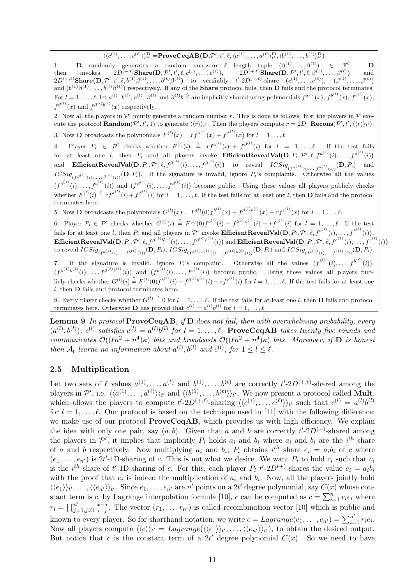$\langle\langle c^{(1)},\ldots,c^{(\ell)}\rangle\rangle^{\mathbf{D}}_{t'}=\mathbf{ProveCeqAB(D,}\mathcal{P}',t',\ell,\langle a^{(1)},\ldots,a^{(\ell)}\rangle^{\mathbf{D}}_{t'},\langle b^{(1)},\ldots,b^{(\ell)}\rangle^{\mathbf{D}}_{t'})$ 

1. **D** randomly generates a random non-zero  $\ell$  length tuple  $(\beta^{(1)}, \ldots, \beta^{(\ell)}) \in \mathbb{F}^{\ell}$ . **D** then invokes  $2D^{(+,\ell)}$ Share $(D, \mathcal{P}', t', \ell, c^{(1)}, \ldots, c^{(\ell)}), \qquad 2D^{(+,\ell)}$ Share $(D, \mathcal{P}', t', \ell, \beta^{(1)}, \ldots, \beta^{(\ell)})$  and  $2D^{(+,\ell)}$ Share $(\mathbf{D}, \mathcal{P}', t', \ell, b^{(1)}\beta^{(1)}, \ldots, b^{(\ell)}\beta^{(\ell)})$  to verifiably  $t' \cdot 2D^{(+,\ell)}$ -share  $(c^{(1)}, \ldots, c^{(\ell)}), \quad (\beta^{(1)}, \ldots, \beta^{(\ell)})$ and  $(b^{(1)}\beta^{(1)},\ldots,b^{(\ell)}\beta^{(\ell)})$  respectively. If any of the **Share** protocol fails, then **D** fails and the protocol terminates. For  $l = 1, \ldots, \ell$ , let  $a^{(l)}$ ,  $b^{(l)}$ ,  $c^{(l)}$ ,  $\beta^{(l)}$  and  $\beta^{(l)}b^{(l)}$  are implicitly shared using polynomials  $f^{a^{(l)}}(x)$ ,  $f^{b^{(l)}}(x)$ ,  $f^{c^{(l)}}(x)$ ,  $f^{\beta^{(l)}}(x)$  and  $f^{\beta^{(l)}b^{(l)}}(x)$  respectively.

2. Now all the players in  $\mathcal{P}'$  jointly generate a random number r. This is done as follows: first the players in  $\mathcal P$  execute the protocol **Random** $(\mathcal{P}', t', 1)$  to generate  $\langle \langle r \rangle \rangle_{t'}$ . Then the players compute  $r = 2D^+$ **Recons** $(\mathcal{P}', t', \langle \langle r \rangle \rangle_{t'})$ .

3. Now **D** broadcasts the polynomials  $F^{(l)}(x) = rf^{a^{(l)}}(x) + f^{\beta^{(l)}}(x)$  for  $l = 1 \ldots, l$ .

4. Player  $P_i \in \mathcal{P}'$  checks whether  $F^{(l)}(i) \stackrel{?}{=} rf^{a^{(l)}}(i) + f^{\beta^{(l)}}(i)$  for  $l = 1,\ldots,\ell$ . If the test fails for at least one *l*, then  $P_i$  and all players invoke **EfficientRevealVal**( $\mathbf{D}, P_i, \mathcal{P}', \ell, f^{a^{(1)}}(i), \ldots, f^{a^{(\ell)}}(i)$ )  $\quad {\bf EfficientRevealVal}( {\bf D}, P_i, \mathcal{P}', \ell, f^{\beta^{(1)}}(i), \ldots, f^{\beta^{(\ell)}}(i)) \quad \text{to} \quad {\rm reveal} \quad ICSig_{(f^{a^{(1)}}(i), \ldots, f^{a^{(\ell)}}(i))}({\bf D}, P_i) \quad \text{and}$  $ICSig_{(f^{\beta^{(1)}}(i),...,f^{\beta^{(\ell)}}(i))}(\mathbf{D},P_i)$ . If the signature is invalid, ignore  $P_i$ 's complaints. Otherwise all the values  $(f^{a^{(1)}}(i),...,f^{a^{(\ell)}}(i))$  and  $(f^{\beta^{(1)}}(i),...,f^{\beta^{(\ell)}}(i))$  become public. Using these values all players publicly checks whether  $F^{(l)}(i) \stackrel{?}{=} rf^{a^{(l)}}(i) + f^{\beta^{(l)}}(i)$  for  $l = 1, \ldots, \ell$ . If the test fails for at least one l, then **D** fails and the protocol terminates here.

5. Now **D** broadcasts the polynomials  $G^{(l)}(x) = F^{(l)}(0) f^{(l)}(x) - f^{\beta^{(l)}(l)}(x) - r f^{(l)}(x)$  for  $l = 1, ..., l$ .

6. Player  $P_i \in \mathcal{P}'$  checks whether  $G^{(l)}(i) \stackrel{?}{=} F^{(l)}(0) f^{b^{(l)}}(i) - f^{\beta^{(l)}b^{(l)}}(i) - r f^{c^{(l)}}(i)$  for  $l = 1, \ldots, \ell$ . If the test fails for at least one l, then  $P_i$  and all players in  $\mathcal{P}'$  invoke **Efficient RevealVal(D**,  $P_i$ ,  $\mathcal{P}', \ell$ ,  $f^{b^{(1)}}(i)$ , ...,  $f^{b^{(\ell)}}(i)$ ),  ${\bf Efficient RevealVal(D}, P_i, \mathcal{P}', \ell, f^{\beta^{(1)}b^{(1)}}(i), \ldots, f^{\beta^{(\ell)}b^{(\ell)}}(i))$  and  ${\bf Efficient RevealVal(D}, P_i, \mathcal{P}', \ell, f^{c^{(1)}}(i), \ldots, f^{c^{(\ell)}})$  $(i)$ to reveal  $ICSig_{(f^{b(1)}(i),...,f^{b(\ell)}(i))}(\mathbf{D}, P_i)$ ,  $ICSig_{(f^{\beta(1)}b^{(1)}(i),...,f^{\beta(\ell)}b^{(\ell)}(i))}(\mathbf{D}, P_i)$  and  $ICSig_{(f^{c^{(1)}}(i),...,f^{c^{(\ell)}}(i))}(\mathbf{D}, P_i)$ .

7. If the signature is invalid, ignore  $P_i$ 's complaint. Otherwise all the values  $(f^{b^{(1)}}(i),...,f^{b^{(\ell)}}(i)),$  $(f^{\beta^{(1)}b^{(1)}}(i),...,f^{\beta^{(\ell)}b^{(\ell)}}(i))$  and  $(f^{c^{(1)}}(i),...,f^{c^{(\ell)}}(i))$  become public. Using these values all players publicly checks whether  $G^{(l)}(i) \stackrel{?}{=} F^{(l)}(0) f^{b^{(l)}}(i) - f^{\beta^{(l)}b^{(l)}}(i) - r f^{c^{(l)}}(i)$  for  $l = 1, ..., \ell$ . If the test fails for at least one l, then D fails and protocol terminates here.

8. Every player checks whether  $G^{(l)} \stackrel{?}{=} 0$  for  $l = 1, \ldots, \ell$ . If the test fails for at least one l, then **D** fails and protocol terminates here. Otherwise **D** has proved that  $c^{(l)} = a^{(l)}b^{(l)}$  for  $l = 1, ..., l$ .

Lemma 9 In protocol ProveCeqAB, if D does not fail, then with overwhelming probability, every  $(a^{(l)},b^{(l)})$ ,  $c^{(l)}$  satisfies  $c^{(l)} = a^{(l)}b^{(l)}$  for  $l = 1,\ldots,\ell$ . **ProveCeqAB** takes twenty five rounds and communicates  $\mathcal{O}((\ell n^2 + n^4)\kappa)$  bits and broadcasts  $\mathcal{O}((\ell n^2 + n^4)\kappa)$  bits. Moreover, if **D** is honest then  $A_t$  learns no information about  $a^{(l)}$ ,  $b^{(l)}$  and  $c^{(l)}$ , for  $1 \leq l \leq l$ .

## 2.5 Multiplication

Let two sets of  $\ell$  values  $a^{(1)}, \ldots, a^{(\ell)}$  and  $b^{(1)}, \ldots, b^{(\ell)}$  are correctly  $t'$ -2D<sup>(+, $\ell$ )</sup>-shared among the players in  $\mathcal{P}',$  i.e.  $\langle\langle a^{(1)}, \ldots, a^{(\ell)} \rangle\rangle_{t'}$  and  $\langle\langle b^{(1)}, \ldots, b^{(\ell)} \rangle\rangle_{t'}$ . We now present a protocol called **Mult**, which allows the players to compute  $t' \text{-} 2D^{(+,\ell)}$ -sharing  $\langle \langle c^{(1)}, \ldots, c^{(\ell)} \rangle \rangle_{t'}$  such that  $c^{(l)} = a^{(l)}b^{(l)}$ for  $l = 1, \ldots, \ell$ . Our protocol is based on the technique used in [11] with the following difference: we make use of our protocol **ProveCeqAB**, which provides us with high efficiency. We explain the idea with only one pair, say  $(a, b)$ . Given that a and b are correctly  $t' \text{-} 2D^{(+)}$ -shared among the players in  $\mathcal{P}'$ , it implies that implicitly  $P_i$  holds  $a_i$  and  $b_i$  where  $a_i$  and  $b_i$  are the  $i^{th}$  share of a and b respectively. Now multiplying  $a_i$  and  $b_i$ ,  $P_i$  obtains  $i^{th}$  share  $e_i = a_i b_i$  of c where  $(e_1,\ldots,e_{n'})$  is 2t'-1D-sharing of c. This is not what we desire. We want  $P_i$  to hold  $c_i$  such that  $c_i$ is the *i*<sup>th</sup> share of t'-1D-sharing of c. For this, each player  $P_i$  t'-2D<sup>(+)</sup>-shares the value  $e_i = a_i b_i$ with the proof that  $e_i$  is indeed the multiplication of  $a_i$  and  $b_i$ . Now, all the players jointly hold  $\langle\langle e_1\rangle\rangle_{t'},\ldots,\langle\langle e_{n'}\rangle\rangle_{t'}.$  Since  $e_1,\ldots,e_{n'}$  are  $n'$  points on a 2t' degree polynomial, say  $C(x)$  whose con- $\langle \langle \varepsilon_1 \rangle / t', \dots, \langle \langle \varepsilon_n' \rangle / t' \rangle$ . Since  $\varepsilon_1, \dots, \varepsilon_n'$  are *n* points on a z*t* degree polynomial, say  $C(x)$  stant term is *c*, by Lagrange interpolation formula [10], *c* can be computed as  $c = \sum_{i=1}^n$  $\sum_{i=1}^n r_i e_i$  where  $r_i = \prod_{j=1}^{n'}$  $j=1,j\neq i$ x−j  $\frac{x-j}{i-j}$ . The vector  $(r_1,\ldots,r_{n'})$  is called recombination vector [10] which is public and known to every player. So for shorthand notation, we write  $c = Lagrange(e_1, \ldots, e_{n'}) = \sum_{i=1}^{n'} r_i e_i$ . Now all players compute  $\langle\langle c \rangle\rangle_{t'} = \text{Lagrange}(\langle\langle e_1 \rangle\rangle_{t'}, \dots, \langle\langle e_{n'} \rangle\rangle_{t'})$ , to obtain the desired output. But notice that c is the constant term of a 2t' degree polynomial  $C(x)$ . So we need to have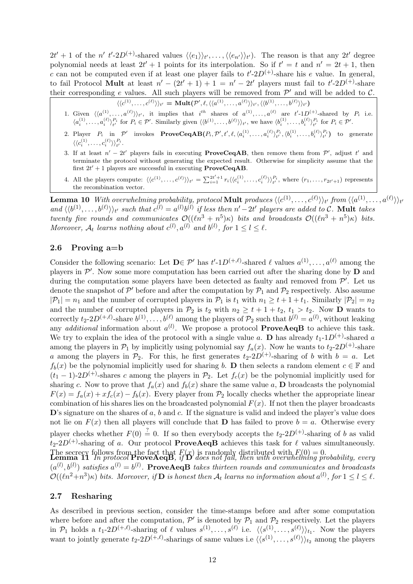$2t' + 1$  of the n' t'-2D<sup>(+)</sup>-shared values  $\langle\langle e_1 \rangle\rangle_{t'}, \ldots, \langle\langle e_{n'} \rangle\rangle_{t'}$ ). The reason is that any 2t' degree polynomial needs at least  $2t' + 1$  points for its interpolation. So if  $t' = t$  and  $n' = 2t + 1$ , then c can not be computed even if at least one player fails to  $t'\text{-}2D^{(+)}$ -share his e value. In general, to fail Protocol Mult at least  $n' - (2t' + 1) + 1 = n' - 2t'$  players must fail to  $t' \text{-} 2D^{(+)}$ -share their corresponding e values. All such players will be removed from  $\mathcal{P}'$  and will be added to  $\mathcal{C}$ .

$$
\langle \langle c^{(1)}, \ldots, c^{(\ell)} \rangle \rangle_{t'} = \text{Mult}(\mathcal{P}', \ell, \langle \langle a^{(1)}, \ldots, a^{(\ell)} \rangle \rangle_{t'}, \langle \langle b^{(1)}, \ldots, b^{(\ell)} \rangle \rangle_{t'})
$$

- 1. Given  $\langle\langle a^{(1)}, \ldots, a^{(\ell)}\rangle\rangle_{t'}$ , it implies that  $i^{th}$  shares of  $a^{(1)}, \ldots, a^{(\ell)}$  are  $t'\text{-}1D^{(+)}$ -shared by  $P_i$  i.e.  $\langle a_i^{(1)}, \ldots, a_i^{(\ell)} \rangle_t^{P_i}$  for  $P_i \in \mathcal{P}'$ . Similarly given  $\langle \langle b^{(1)}, \ldots, b^{(\ell)} \rangle \rangle_{t'}$ , we have  $\langle b_i^{(1)}, \ldots, b_i^{(\ell)} \rangle_{t'}^{P_i}$  for  $P_i \in \mathcal{P}'$ .
- 2. Player  $P_i$  in  $\mathcal{P}'$  invokes  $ProveCeqAB(P_i, \mathcal{P}', t', \ell, \langle a_i^{(1)}, \ldots, a_i^{(\ell)} \rangle_{t'}^{P_i}, \langle b_i^{(1)}, \ldots, b_i^{(\ell)} \rangle_{t'}^{P_i})$  to generate  $\langle \langle c_i^{(1)}, \ldots, c_i^{(\ell)} \rangle \rangle_{t'}^{P_i}.$
- 3. If at least  $n' 2t'$  players fails in executing **ProveCeqAB**, then remove them from  $\mathcal{P}'$ , adjust t' and terminate the protocol without generating the expected result. Otherwise for simplicity assume that the first  $2t' + 1$  players are successful in executing **ProveCeqAB**.
- 4. All the players compute:  $\langle\langle c^{(1)}, \ldots, c^{(\ell)} \rangle\rangle_{t'} = \sum_{i=1}^{2t'+1} r_i \langle\langle c^{(1)}_i, \ldots, c^{(\ell)}_i \rangle\rangle_{t'}^{P_i}$ , where  $(r_1, \ldots, r_{2t'+1})$  represents the recombination vector.

 ${\bf Lemma~10} ~\textit{With overwhelming probability},~\textit{protocol}~{\bf Mult}~\textit{produces}~\langle\langle c^{(1)},\ldots,c^{(\ell)}\rangle\rangle_{t'}~\textit{from}~\langle\langle a^{(1)},\ldots,a^{(\ell)}\rangle\rangle_{t'}$ and  $\langle\langle b^{(1)},\ldots,b^{(\ell)}\rangle\rangle_{t'}$  such that  $c^{(l)} = a^{(l)}b^{(l)}$  if less then  $n'-2t'$  players are added to C. Mult takes twenty five rounds and communicates  $\mathcal{O}((\ell n^3 + n^5)\kappa)$  bits and broadcasts  $\mathcal{O}((\ell n^3 + n^5)\kappa)$  bits. Moreover,  $A_t$  learns nothing about  $c^{(l)}$ ,  $a^{(l)}$  and  $b^{(l)}$ , for  $1 \leq l \leq l$ .

## 2.6 Proving a=b

Consider the following scenario: Let  $\mathbf{D} \in \mathcal{P}'$  has  $t' \text{-} 1D^{(+,\ell)}$ -shared  $\ell$  values  $a^{(1)}, \ldots, a^{(\ell)}$  among the players in  $\mathcal{P}'$ . Now some more computation has been carried out after the sharing done by  $\mathbf{D}$  and during the computation some players have been detected as faulty and removed from  $\mathcal{P}'$ . Let us denote the snapshot of  $\mathcal{P}'$  before and after the computation by  $\mathcal{P}_1$  and  $\mathcal{P}_2$  respectively. Also assume  $|\mathcal{P}_1| = n_1$  and the number of corrupted players in  $\mathcal{P}_1$  is  $t_1$  with  $n_1 \ge t + 1 + t_1$ . Similarly  $|\mathcal{P}_2| = n_2$ and the number of corrupted players in  $\mathcal{P}_2$  is  $t_2$  with  $n_2 \geq t + 1 + t_2$ ,  $t_1 > t_2$ . Now **D** wants to correctly  $t_2$ -2 $D^{(+,\ell)}$ -share  $b^{(1)}, \ldots, b^{(\ell)}$  among the players of  $\mathcal{P}_2$  such that  $b^{(l)} = a^{(l)}$ , without leaking any *additional* information about  $a^{(l)}$ . We propose a protocol **ProveAeqB** to achieve this task. We try to explain the idea of the protocol with a single value a. D has already  $t_1$ -1D<sup>(+)</sup>-shared a among the players in  $\mathcal{P}_1$  by implicitly using polynomial say  $f_a(x)$ . Now he wants to  $t_2$ -2D<sup>(+)</sup>-share a among the players in  $\mathcal{P}_2$ . For this, he first generates  $t_2-2D^{(+)}$ -sharing of b with  $b = a$ . Let  $f_b(x)$  be the polynomial implicitly used for sharing b. D then selects a random element  $c \in \mathbb{F}$  and  $(t_1 - 1)$ -2D<sup>(+)</sup>-shares c among the players in  $\mathcal{P}_2$ . Let  $f_c(x)$  be the polynomial implicitly used for sharing c. Now to prove that  $f_a(x)$  and  $f_b(x)$  share the same value a, **D** broadcasts the polynomial  $F(x) = f_a(x) + x f_c(x) - f_b(x)$ . Every player from  $\mathcal{P}_2$  locally checks whether the appropriate linear combination of his shares lies on the broadcasted polynomial  $F(x)$ . If not then the player broadcasts  $\mathbf{D}$ 's signature on the shares of a, b and c. If the signature is valid and indeed the player's value does not lie on  $F(x)$  then all players will conclude that **D** has failed to prove  $b = a$ . Otherwise every player checks whether  $F(0) \stackrel{?}{=} 0$ . If so then everybody accepts the  $t_2$ -2D<sup>(+)</sup>-sharing of b as valid  $t_2-2D^{(+)}$ -sharing of a. Our protocol **ProveAeqB** achieves this task for  $\ell$  values simultaneously. The secrecy follows from the fact that  $F(x)$  is randomly distributed with  $F(0) = 0$ .<br>**Lemma 11** In protocol **ProveAeqB**, if **D** does not fail, then with overwhelming probability, every  $(a^{(l)},b^{(l)})$  satisfies  $a^{(l)}=b^{(l)}$ . ProveAeqB takes thirteen rounds and communicates and broadcasts  $\mathcal{O}((\ell n^2+n^3)\kappa)$  bits. Moreover, if  $\mathbf D$  is honest then  $\mathcal A_t$  learns no information about  $a^{(l)}$ , for  $1\leq l\leq\ell$ .

## 2.7 Resharing

As described in previous section, consider the time-stamps before and after some computation where before and after the computation,  $\mathcal{P}'$  is denoted by  $\mathcal{P}_1$  and  $\mathcal{P}_2$  respectively. Let the players in  $\mathcal{P}_1$  holds a  $t_1\text{-}2D^{(+,\ell)}$ -sharing of  $\ell$  values  $s^{(1)},\ldots,s^{(\ell)}$  i.e.  $\langle\langle s^{(1)},\ldots,s^{(\ell)}\rangle\rangle_{t_1}$ . Now the players want to jointly generate  $t_2\text{-}2D^{(+,\ell)}$ -sharings of same values i.e  $\langle\langle s^{(1)}, \ldots, s^{(\ell)}\rangle\rangle_{t_2}$  among the players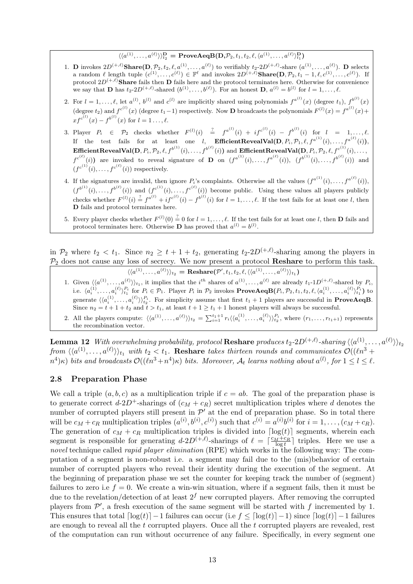## $\langle\langle a^{(1)},\ldots,a^{(\ell)}\rangle\rangle_{t_{2}}^{\mathbf{D}} = \mathbf{ProveAeqB}(\mathbf{D},\mathcal{P}_{2},t_{1},t_{2},\ell,\langle a^{(1)},\ldots,a^{(\ell)}\rangle_{t_{1}}^{\mathbf{D}})$

- 1. **D** invokes  $2D^{(+,\ell)}$ **Share** $(D, \mathcal{P}_2, t_2, \ell, a^{(1)}, \ldots, a^{(\ell)})$  to verifiably  $t_2$ - $2D^{(+,\ell)}$ -share  $(a^{(1)}, \ldots, a^{(\ell)})$ . **D** selects a random  $\ell$  length tuple  $(c^{(1)}, \ldots, c^{(\ell)}) \in \mathbb{F}^{\ell}$  and invokes  $2D^{(+,\ell)}$ Share $(D, \mathcal{P}_2, t_1 - 1, \ell, c^{(1)}, \ldots, c^{(\ell)})$ . If protocol  $2D^{(+,\ell)}$ Share fails then D fails here and the protocol terminates here. Otherwise for convenience we say that **D** has  $t_2 \text{-} 2D^{(+,\ell)}$ -shared  $(b^{(1)}, \ldots, b^{(\ell)})$ . For an honest **D**,  $a^{(l)} = b^{(l)}$  for  $l = 1, \ldots, \ell$ .
- 2. For  $l = 1, ..., \ell$ , let  $a^{(l)}$ ,  $b^{(l)}$  and  $c^{(l)}$  are implicitly shared using polynomials  $f^{a^{(l)}}(x)$  (degree  $t_1$ ),  $f^{b^{(l)}}(x)$ (degree  $t_2$ ) and  $f^{c^{(1)}}(x)$  (degree  $t_1-1$ ) respectively. Now **D** broadcasts the polynomials  $F^{(1)}(x) = f^{a^{(1)}}(x) +$  $xf^{c^{(l)}}(x) - f^{b^{(l)}}(x)$  for  $l = 1 \ldots, \ell$ .
- 3. Player  $P_i \in \mathcal{P}_2$  checks whether  $F^{(l)}(i) \stackrel{?}{=} f^{a^{(l)}}(i) + i f^{c^{(l)}}(i) f^{b^{(l)}}(i)$  for  $l = 1, ..., l$ . If the test fails for at least one *l*, **EfficientRevealVal** $(D, P_i, \mathcal{P}_1, \ell, f^{a^{(1)}}(i), \ldots, f^{a^{(\ell)}}(i)),$  ${\bf Efficient RevealVal(D,} P_i, \mathcal{P}_2, \ell, f^{b^{(1)}}(i), \ldots, f^{b^{(\ell)}}(i)) \text{ and } {\bf Efficient RevealVal(D,} P_i, \mathcal{P}_2, \ell, f^{c^{(1)}}(i), \ldots, f^{b^{(\ell)}}(i))$  $f^{c^{(\ell)}}(i)$  are invoked to reveal signature of **D** on  $(f^{a^{(1)}}(i),...,f^{a^{(\ell)}}(i)), (f^{b^{(1)}}(i),...,f^{b^{(\ell)}}(i))$  and  $(f^{c^{(1)}}(i), \ldots, f^{c^{(\ell)}}(i))$  respectively.
- 4. If the signatures are invalid, then ignore  $P_i$ 's complaints. Otherwise all the values  $(f^{a^{(1)}}(i),...,f^{a^{(\ell)}}(i)),$  $(f^{b^{(1)}}(i),...,f^{b^{(\ell)}}(i))$  and  $(f^{c^{(1)}}(i),...,f^{c^{(\ell)}}(i))$  become public. Using these values all players publicly checks whether  $F^{(l)}(i) \stackrel{?}{=} f^{a^{(l)}} + i f^{c^{(l)}}(i) - f^{b^{(l)}}(i)$  for  $l = 1, ..., \ell$ . If the test fails for at least one l, then D fails and protocol terminates here.
- 5. Every player checks whether  $F^{(l)}(0) \stackrel{?}{=} 0$  for  $l = 1, \ldots, \ell$ . If the test fails for at least one l, then **D** fails and protocol terminates here. Otherwise **D** has proved that  $a^{(l)} = b^{(l)}$ .

in  $\mathcal{P}_2$  where  $t_2 < t_1$ . Since  $n_2 \geq t_1 + t_2$ , generating  $t_2\text{-}2D^{(+,\ell)}$ -sharing among the players in  $\mathcal{P}_2$  does not cause any loss of secrecy. We now present a protocol **Reshare** to perform this task.

 $\langle \langle a^{(1)}, \ldots, a^{(\ell)} \rangle \rangle_{t_2} = \text{Reshare}(\mathcal{P}', t_1, t_2, \ell, \langle \langle a^{(1)}, \ldots, a^{(\ell)} \rangle \rangle_{t_1})$ 

- 1. Given  $\langle \langle a^{(1)}, \ldots, a^{(\ell)} \rangle \rangle_{t_1}$ , it implies that the  $i^{th}$  shares of  $a^{(1)}, \ldots, a^{(\ell)}$  are already  $t_1 \text{-} 1D^{(+,\ell)}$ -shared by  $P_i$ , i.e.  $\langle a_i^{(1)}, \ldots, a_i^{(\ell)} \rangle_{t_1}^{P_i}$  for  $P_i \in \mathcal{P}_1$ . Player  $P_i$  in  $\mathcal{P}_2$  invokes  $\mathbf{ProveAeqB}(P_i, \mathcal{P}_2, t_1, t_2, \ell, \langle a_i^{(1)}, \ldots, a_i^{(\ell)} \rangle_{t_1}^{P_i})$  to generate  $\langle \langle a_i^{(1)}, \ldots, a_i^{(\ell)} \rangle \rangle_{t_2}^{P_i}$ . For simplicity assume that first  $t_1 + 1$  players are successful in **ProveAeqB**. Since  $n_2 = t + 1 + t_2$  and  $t > t_1$ , at least  $t + 1 \ge t_1 + 1$  honest players will always be successful.
- 2. All the players compute:  $\langle\langle a^{(1)}, \ldots, a^{(\ell)}\rangle\rangle_{t_2} = \sum_{i=1}^{t_1+1} r_i \langle\langle a_i^{(1)}, \ldots, a_i^{(\ell)}\rangle\rangle_{t_2}^{P_i}$ , where  $(r_1, \ldots, r_{t_1+1})$  represents the recombination vector.

 ${\bf Lemma \ 12}\;\; With\; overwhelming\; probability,\; protocol\; {\bf Reshare}\; produces\; t_2\text{-}2D^{(+,\ell)}\text{-}sharing\; \langle \langle a^{(1)},\ldots,a^{(\ell)}\rangle \rangle_{t_2}$ from  $\langle\langle a^{(1)},\ldots,a^{(\ell)}\rangle\rangle_{t_1}$  with  $t_2 < t_1$ . Reshare takes thirteen rounds and communicates  $\mathcal{O}((\ell n^3 +$  $(n^4)$ κ) bits and broadcasts  $\mathcal{O}((\ell n^3+n^4)\kappa)$  bits. Moreover,  $\mathcal{A}_t$  learns nothing about  $a^{(l)}$ , for  $1\leq l\leq \ell$ .

#### 2.8 Preparation Phase

We call a triple  $(a, b, c)$  as a multiplication triple if  $c = ab$ . The goal of the preparation phase is to generate correct  $d-2D^+$ -sharings of  $(c_M + c_R)$  secret multiplication triples where d denotes the number of corrupted players still present in  $\mathcal{P}'$  at the end of preparation phase. So in total there will be  $c_M + c_R$  multiplication triples  $(a^{(i)}, b^{(i)}, c^{(i)})$  such that  $c^{(i)} = a^{(i)}b^{(i)}$  for  $i = 1, \ldots, (c_M + c_R)$ . The generation of  $c_M + c_R$  multiplication triples is divided into  $\lceil \log(t) \rceil$  segments, wherein each segment is responsible for generating  $d-2D^{(+,\ell)}$ -sharings of  $\ell = \lceil \frac{c_M+c_R}{\log t} \rceil$  triples. Here we use a novel technique called *rapid player elimination* (RPE) which works in the following way: The computation of a segment is non-robust i.e. a segment may fail due to the (mis)behavior of certain number of corrupted players who reveal their identity during the execution of the segment. At the beginning of preparation phase we set the counter for keeping track the number of (segment) failures to zero i.e  $f = 0$ . We create a win-win situation, where if a segment fails, then it must be due to the revelation/detection of at least  $2<sup>f</sup>$  new corrupted players. After removing the corrupted players from  $\mathcal{P}'$ , a fresh execution of the same segment will be started with f incremented by 1. This ensures that total  $\lceil \log(t) \rceil - 1$  failures can occur (i.e  $f \leq \lceil \log(t) \rceil - 1$ ) since  $\lceil \log(t) \rceil - 1$  failures are enough to reveal all the t corrupted players. Once all the t corrupted players are revealed, rest of the computation can run without occurrence of any failure. Specifically, in every segment one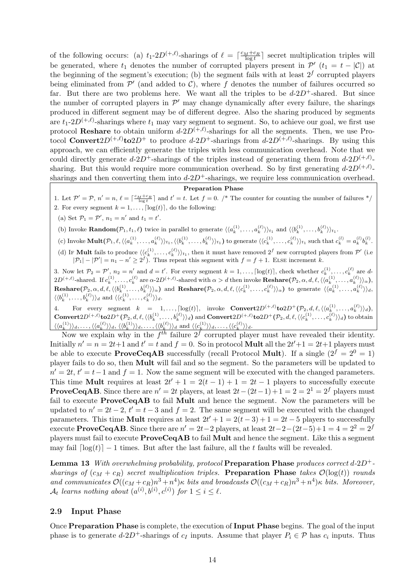of the following occurs: (a)  $t_1$ -2D<sup>(+, $\ell$ </sup>)-sharings of  $\ell = \lceil \frac{c_M+c_R}{\log t} \rceil$  secret multiplication triples will be generated, where  $t_1$  denotes the number of corrupted players present in  $\mathcal{P}'$   $(t_1 = t - |\mathcal{C}|)$  at the beginning of the segment's execution; (b) the segment fails with at least  $2<sup>f</sup>$  corrupted players being eliminated from  $\mathcal{P}'$  (and added to  $\mathcal{C}$ ), where f denotes the number of failures occurred so far. But there are two problems here. We want all the triples to be  $d-2D^+$ -shared. But since the number of corrupted players in  $\mathcal{P}'$  may change dynamically after every failure, the sharings produced in different segment may be of different degree. Also the sharing produced by segments are  $t_1$ -2 $D^{(+,\ell)}$ -sharings where  $t_1$  may vary segment to segment. So, to achieve our goal, we first use protocol **Reshare** to obtain uniform  $d$ -2D<sup>(+, $\ell$ )-sharings for all the segments. Then, we use Pro-</sup> tocol **Convert** $2D^{(+,\ell)}$ **to** $2D^{+}$  to produce  $d$ - $2D^{+}$ -sharings from  $d$ - $2D^{(+,\ell)}$ -sharings. By using this approach, we can efficiently generate the triples with less communication overhead. Note that we could directly generate  $d$ -2D<sup>+</sup>-sharings of the triples instead of generating them from  $d$ -2D<sup>(+, $\ell$ )</sup>sharing. But this would require more communication overhead. So by first generating  $d\n-2D^{(+,\ell)}$ . sharings and then converting them into  $d-2D^+$ -sharings, we require less communication overhead.

#### Preparation Phase

1. Let  $\mathcal{P}' = \mathcal{P}$ ,  $n' = n$ ,  $\ell = \lceil \frac{c_M + c_R}{\log t} \rceil$  and  $t' = t$ . Let  $f = 0$ . /\* The counter for counting the number of failures \*/ 2. For every segment  $k = 1, \ldots, \lceil \log(t) \rceil$ , do the following:

(a) Set  $\mathcal{P}_1 = \mathcal{P}'$ ,  $n_1 = n'$  and  $t_1 = t'$ .

(b) Invoke **Random** $(\mathcal{P}_1, t_1, \ell)$  twice in parallel to generate  $\langle \langle a_k^{(1)}, \ldots, a_k^{(\ell)} \rangle \rangle_{t_1}$  and  $\langle \langle b_k^{(1)}, \ldots, b_k^{(\ell)} \rangle \rangle_{t_1}$ .

(c) Invoke  $\text{Mult}(\mathcal{P}_1, \ell, \langle\langle a_k^{(1)}, \ldots, a_k^{(\ell)} \rangle\rangle_{t_1}, \langle\langle b_k^{(1)}, \ldots, b_k^{(\ell)} \rangle\rangle_{t_1})$  to generate  $\langle\langle c_k^{(1)}, \ldots, c_k^{(\ell)} \rangle\rangle_{t_1}$  such that  $c_k^{(l)} = a_k^{(l)}b_k^{(l)}$ .

(d) IF **Mult** fails to produce  $\langle \langle c_k^{(1)}, \ldots, c_k^{(\ell)} \rangle \rangle_{t_1}$ , then it must have removed  $2^f$  new corrupted players from  $\mathcal{P}'$  (i.e.  $|\mathcal{P}_1| - |\mathcal{P}'| = n_1 - n' \geq 2^f$ . Thus repeat this segment with  $f = f + 1$ . ELSE increment k.

3. Now let  $\mathcal{P}_2 = \mathcal{P}'$ ,  $n_2 = n'$  and  $d = t'$ . For every segment  $k = 1, \ldots, \lceil \log(t) \rceil$ , check whether  $c_k^{(1)}, \ldots, c_k^{(\ell)}$  are d-3. Now let  $P_2 = P$ ,  $R_2 = R$  and  $a = b$ . For every segment  $k = 1, ..., |\log(b)|$ , there where  $C_k$ ,  $\dots, C_k$  are  $a = 2D^{(+,\ell)}$ -shared. If  $c_k^{(1)}, \dots, c_k^{(\ell)}$  are  $\alpha$ -2 $D^{(+,\ell)}$ -shared with  $\alpha > d$  then invoke **Reshare** $(\mathcal{P}_2, \alpha, d, \ell, \langle$  $\textbf{Reshare}(\mathcal{P}_2, \alpha, d, \ell, \langle\langle b_k^{(1)}, \ldots, b_k^{(\ell)}\rangle\rangle_\alpha)$  and  $\textbf{Reshare}(\mathcal{P}_2, \alpha, d, \ell, \langle\langle c_k^{(1)}, \ldots, c_k^{(\ell)}\rangle\rangle_\alpha)$  to generate  $\langle\langle a_k^{(1)}, \ldots, a_k^{(\ell)}\rangle\rangle_d$ ,  $\langle \langle b_k^{(1)}, \ldots, b_k^{(\ell)} \rangle \rangle_d$  and  $\langle \langle c_k^{(1)}, \ldots, c_k^{(\ell)} \rangle \rangle_d$ .

4. For every segment  $k = 1, ..., \lceil \log(t) \rceil$ , invoke  $\text{Convert}2D^{(+,\ell)}\text{to}2D^+(\mathcal{P}_2, d, \ell, \langle \langle a_k^{(1)}, \ldots, a_k^{(\ell)} \rangle \rangle_d)$ ,  $\textbf{Convert} 2D^{(+,\ell)}$ to $2D^+(\mathcal{P}_2,d,\ell,\langle\langle b^{(1)}_k,\ldots,b^{(\ell)}_k\rangle\rangle_d)$  and  $\textbf{Convert} 2D^{(+,\ell)}$ to $2D^+(\mathcal{P}_2,d,\ell,\langle\langle c^{(1)}_k,\ldots,c^{(\ell)}_k\rangle\rangle_d)$  to obtain  $\langle\langle a_k^{(1)}\rangle\rangle_d, \ldots, \langle\langle a_k^{(\ell)}\rangle\rangle_d, \langle\langle b_k^{(1)}\rangle\rangle_d, \ldots, \langle\langle b_k^{(\ell)}\rangle\rangle_d$  and  $\langle\langle c_k^{(1)}\rangle\rangle_d, \ldots, \langle\langle c_k^{(\ell)}\rangle\rangle_d$ .

Now we explain why in the  $f^{th}$  failure  $2^f$  corrupted player must have revealed their identity. Initially  $n' = n = 2t+1$  and  $t' = t$  and  $f = 0$ . So in protocol **Mult** all the  $2t'+1 = 2t+1$  players must be able to execute **ProveCeqAB** successfully (recall Protocol **Mult**). If a single  $(2^f = 2^0 = 1)$ player fails to do so, then Mult will fail and so the segment. So the parameters will be updated to  $n' = 2t, t' = t-1$  and  $f = 1$ . Now the same segment will be executed with the changed parameters. This time **Mult** requires at least  $2t' + 1 = 2(t - 1) + 1 = 2t - 1$  players to successfully execute **ProveCeqAB**. Since there are  $n' = 2t$  players, at least  $2t-(2t-1)+1=2=2^1=2^f$  players must fail to execute ProveCeqAB to fail Mult and hence the segment. Now the parameters will be updated to  $n' = 2t - 2$ ,  $t' = t - 3$  and  $f = 2$ . The same segment will be executed with the changed parameters. This time **Mult** requires at least  $2t' + 1 = 2(t - 3) + 1 = 2t - 5$  players to successfully execute **ProveCeqAB**. Since there are  $n' = 2t-2$  players, at least  $2t-2-(2t-5)+1 = 4 = 2^2 = 2^f$ players must fail to execute ProveCeqAB to fail Mult and hence the segment. Like this a segment may fail  $\lceil \log(t) \rceil - 1$  times. But after the last failure, all the t faults will be revealed.

**Lemma 13** With overwhelming probability, protocol **Preparation Phase** produces correct  $d$ -2D<sup>+</sup>sharings of  $(c_M + c_R)$  secret multiplication triples. Preparation Phase takes  $\mathcal{O}(\log(t))$  rounds and communicates  $\mathcal{O}((c_M + c_R)n^3 + n^4)\kappa$  bits and broadcasts  $\mathcal{O}((c_M + c_R)n^3 + n^4)\kappa$  bits. Moreover,  $\mathcal{A}_t$  learns nothing about  $(a^{(i)},b^{(i)},c^{(i)})$  for  $1\leq i\leq \ell$ .

#### 2.9 Input Phase

Once Preparation Phase is complete, the execution of Input Phase begins. The goal of the input phase is to generate  $d$ -2D<sup>+</sup>-sharings of  $c_I$  inputs. Assume that player  $P_i \in \mathcal{P}$  has  $c_i$  inputs. Thus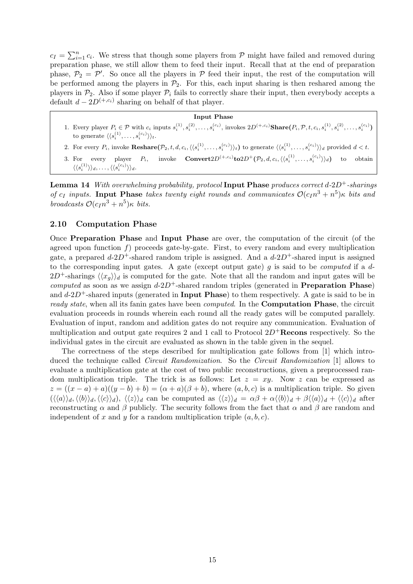$c_I = \sum_{i=1}^n$  $i=1 \atop i=1 \atop i=1 \atop i} c_i$ . We stress that though some players from P might have failed and removed during preparation phase, we still allow them to feed their input. Recall that at the end of preparation phase,  $\mathcal{P}_2 = \mathcal{P}'$ . So once all the players in  $\mathcal P$  feed their input, the rest of the computation will be performed among the players in  $\mathcal{P}_2$ . For this, each input sharing is then reshared among the players in  $\mathcal{P}_2$ . Also if some player  $\mathcal{P}_i$  fails to correctly share their input, then everybody accepts a default  $d - 2D^{(+, c_i)}$  sharing on behalf of that player.

#### Input Phase

- 1. Every player  $P_i \in \mathcal{P}$  with  $c_i$  inputs  $s_i^{(1)}, s_i^{(2)}, \ldots, s_i^{(c_i)}$ , invokes  $2D^{(+,c_i)}$ **Share** $(P_i, \mathcal{P}, t, c_i, s_i^{(1)}, s_i^{(2)}, \ldots, s_i^{(c_i)})$ to generate  $\langle \langle s_i^{(1)}, \ldots, s_i^{(c_i)} \rangle \rangle_t$ .
- 2. For every  $P_i$ , invoke  $\text{Reshare}(\mathcal{P}_2, t, d, c_i, \langle \langle s_i^{(1)}, \ldots, s_i^{(c_i)} \rangle \rangle_t)$  to generate  $\langle \langle s_i^{(1)}, \ldots, s_i^{(c_i)} \rangle \rangle_d$  provided  $d < t$ .
- 3. For every player  $P_i$ ,  ${}^{(+,c_i)}\textbf{to} 2D^+(\mathcal{P}_2,d,c_i,\langle\langle s_i^{(1)},\ldots,s_i^{(c_i)}\rangle\rangle_d)$  to obtain  $\langle \langle s_i^{(1)} \rangle \rangle_d, \ldots, \langle \langle s_i^{(c_i)} \rangle \rangle_d.$

**Lemma 14** With overwhelming probability, protocol Input Phase produces correct  $d$ -2D<sup>+</sup>-sharings of  $c_I$  inputs. Input Phase takes twenty eight rounds and communicates  $\mathcal{O}(c_I n^3 + n^5) \kappa$  bits and broadcasts  $\mathcal{O}(c_{I}n^{3}+n^{5})\kappa$  bits.

### 2.10 Computation Phase

Once Preparation Phase and Input Phase are over, the computation of the circuit (of the agreed upon function  $f$ ) proceeds gate-by-gate. First, to every random and every multiplication gate, a prepared  $d-2D^+$ -shared random triple is assigned. And a  $d-2D^+$ -shared input is assigned to the corresponding input gates. A gate (except output gate) q is said to be *computed* if a  $d$ - $2D^+$ -sharings  $\langle x_q \rangle_d$  is computed for the gate. Note that all the random and input gates will be computed as soon as we assign  $d-2D^+$ -shared random triples (generated in **Preparation Phase**) and  $d-2D^+$ -shared inputs (generated in **Input Phase**) to them respectively. A gate is said to be in ready state, when all its fanin gates have been *computed*. In the **Computation Phase**, the circuit evaluation proceeds in rounds wherein each round all the ready gates will be computed parallely. Evaluation of input, random and addition gates do not require any communication. Evaluation of multiplication and output gate requires 2 and 1 call to Protocol  $2D^{+}$ **Recons** respectively. So the individual gates in the circuit are evaluated as shown in the table given in the sequel.

The correctness of the steps described for multiplication gate follows from [1] which introduced the technique called Circuit Randomization. So the Circuit Randomization [1] allows to evaluate a multiplication gate at the cost of two public reconstructions, given a preprocessed random multiplication triple. The trick is as follows: Let  $z = xy$ . Now z can be expressed as  $z = ((x - a) + a)((y - b) + b) = (\alpha + a)(\beta + b)$ , where  $(a, b, c)$  is a multiplication triple. So given  $(\langle\langle a\rangle\rangle_d, \langle\langle b\rangle\rangle_d, \langle\langle c\rangle\rangle_d)$ ,  $\langle\langle z\rangle\rangle_d$  can be computed as  $\langle\langle z\rangle\rangle_d = \alpha\beta + \alpha \langle\langle b\rangle\rangle_d + \beta \langle\langle a\rangle\rangle_d + \langle\langle c\rangle\rangle_d$  after reconstructing  $\alpha$  and  $\beta$  publicly. The security follows from the fact that  $\alpha$  and  $\beta$  are random and independent of x and y for a random multiplication triple  $(a, b, c)$ .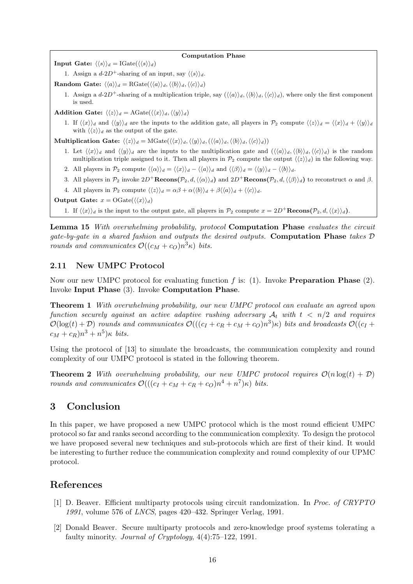#### Computation Phase

Input Gate:  $\langle \langle s \rangle \rangle_d = \text{IGate}(\langle \langle s \rangle \rangle_d)$ 

1. Assign a  $d-2D^+$ -sharing of an input, say  $\langle \langle s \rangle \rangle_d$ .

Random Gate:  $\langle \langle a \rangle \rangle_d = \text{RGate}(\langle \langle a \rangle \rangle_d, \langle \langle b \rangle \rangle_d, \langle \langle c \rangle \rangle_d)$ 

1. Assign a  $d-2D^+$ -sharing of a multiplication triple, say  $(\langle\langle a\rangle\rangle_d, \langle\langle b\rangle\rangle_d, \langle\langle c\rangle\rangle_d)$ , where only the first component is used.

Addition Gate:  $\langle \langle z \rangle \rangle_d = \text{AGate}(\langle \langle x \rangle \rangle_d, \langle \langle y \rangle \rangle_d)$ 

1. If  $\langle x \rangle_a$  and  $\langle y \rangle_d$  are the inputs to the addition gate, all players in  $\mathcal{P}_2$  compute  $\langle \langle z \rangle_a = \langle \langle x \rangle_a + \langle \langle y \rangle_a \rangle_a$ with  $\langle \langle z \rangle \rangle_d$  as the output of the gate.

**Multiplication Gate:**  $\langle \langle z \rangle \rangle_d = \text{MGate}(\langle \langle x \rangle \rangle_d, \langle \langle y \rangle \rangle_d, \langle \langle a \rangle \rangle_d, \langle \langle b \rangle \rangle_d, \langle \langle c \rangle \rangle_d))$ 

- 1. Let  $\langle\langle x\rangle\rangle_d$  and  $\langle\langle y\rangle\rangle_d$  are the inputs to the multiplication gate and  $(\langle\langle a\rangle\rangle_d,\langle\langle b\rangle\rangle_d,\langle\langle c\rangle\rangle_d)$  is the random multiplication triple assigned to it. Then all players in  $\mathcal{P}_2$  compute the output  $\langle\langle z \rangle\rangle_d$  in the following way.
- 2. All players in  $\mathcal{P}_2$  compute  $\langle \langle \alpha \rangle \rangle_d = \langle \langle x \rangle \rangle_d \langle \langle a \rangle \rangle_d$  and  $\langle \langle \beta \rangle \rangle_d = \langle \langle y \rangle \rangle_d \langle \langle b \rangle \rangle_d$ .
- 3. All players in  $\mathcal{P}_2$  invoke  $2D^+\mathbf{Recons}(\mathcal{P}_2, d, \langle\langle\alpha\rangle\rangle_d)$  and  $2D^+\mathbf{Recons}(\mathcal{P}_2, d, \langle\langle\beta\rangle\rangle_d)$  to reconstruct  $\alpha$  and  $\beta$ .
- 4. All players in  $\mathcal{P}_2$  compute  $\langle \langle z \rangle \rangle_d = \alpha \beta + \alpha \langle \langle b \rangle \rangle_d + \beta \langle \langle a \rangle \rangle_d + \langle \langle c \rangle \rangle_d$ .

Output Gate:  $x = OGate(\langle \langle x \rangle \rangle_d)$ 

1. If  $\langle x \rangle_d$  is the input to the output gate, all players in  $\mathcal{P}_2$  compute  $x = 2D^+$ **Recons** $(\mathcal{P}_2, d, \langle \langle x \rangle_d)$ .

Lemma 15 With overwhelming probability, protocol Computation Phase evaluates the circuit gate-by-gate in a shared fashion and outputs the desired outputs. Computation Phase takes D rounds and communicates  $\mathcal{O}((c_M + c_O)n^3 \kappa)$  bits.

## 2.11 New UMPC Protocol

Now our new UMPC protocol for evaluating function f is: (1). Invoke **Preparation Phase** (2). Invoke Input Phase (3). Invoke Computation Phase.

Theorem 1 With overwhelming probability, our new UMPC protocol can evaluate an agreed upon function securely against an active adaptive rushing adversary  $A_t$  with  $t < n/2$  and requires  $\mathcal{O}(\log(t) + \mathcal{D})$  rounds and communicates  $\mathcal{O}(((c_I + c_R + c_M + c_O)n^3)\kappa)$  bits and broadcasts  $\mathcal{O}((c_I + c_R + c_M + c_O)n^3)\kappa)$  $c_M + c_R$ ) $n^3 + n^5$ ) $\kappa$  bits.

Using the protocol of [13] to simulate the broadcasts, the communication complexity and round complexity of our UMPC protocol is stated in the following theorem.

**Theorem 2** With overwhelming probability, our new UMPC protocol requires  $\mathcal{O}(n \log(t) + \mathcal{D})$ rounds and communicates  $\mathcal{O}((c_I + c_M + c_R + c_O)n^4 + n^7)\kappa)$  bits.

# 3 Conclusion

In this paper, we have proposed a new UMPC protocol which is the most round efficient UMPC protocol so far and ranks second according to the communication complexity. To design the protocol we have proposed several new techniques and sub-protocols which are first of their kind. It would be interesting to further reduce the communication complexity and round complexity of our UPMC protocol.

# References

- [1] D. Beaver. Efficient multiparty protocols using circuit randomization. In Proc. of CRYPTO 1991, volume 576 of LNCS, pages 420–432. Springer Verlag, 1991.
- [2] Donald Beaver. Secure multiparty protocols and zero-knowledge proof systems tolerating a faulty minority. *Journal of Cryptology*, 4(4):75–122, 1991.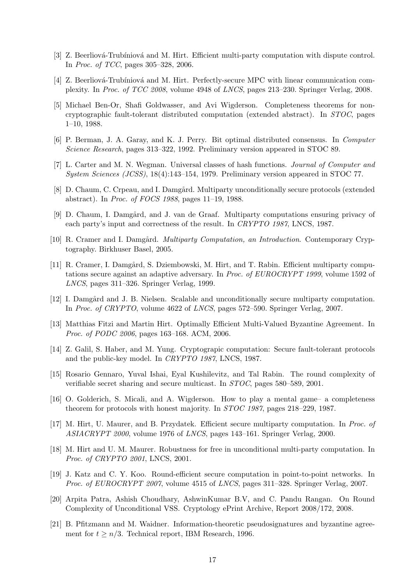- [3] Z. Beerliová-Trubíniová and M. Hirt. Efficient multi-party computation with dispute control. In Proc. of TCC, pages 305–328, 2006.
- [4] Z. Beerliová-Trubíniová and M. Hirt. Perfectly-secure MPC with linear communication complexity. In Proc. of TCC 2008, volume 4948 of LNCS, pages 213–230. Springer Verlag, 2008.
- [5] Michael Ben-Or, Shafi Goldwasser, and Avi Wigderson. Completeness theorems for noncryptographic fault-tolerant distributed computation (extended abstract). In STOC, pages 1–10, 1988.
- [6] P. Berman, J. A. Garay, and K. J. Perry. Bit optimal distributed consensus. In Computer Science Research, pages 313–322, 1992. Preliminary version appeared in STOC 89.
- [7] L. Carter and M. N. Wegman. Universal classes of hash functions. Journal of Computer and System Sciences (JCSS), 18(4):143–154, 1979. Preliminary version appeared in STOC 77.
- [8] D. Chaum, C. Crpeau, and I. Damgård. Multiparty unconditionally secure protocols (extended abstract). In Proc. of FOCS 1988, pages 11–19, 1988.
- [9] D. Chaum, I. Damgård, and J. van de Graaf. Multiparty computations ensuring privacy of each party's input and correctness of the result. In CRYPTO 1987, LNCS, 1987.
- [10] R. Cramer and I. Damgård. *Multiparty Computation, an Introduction*. Contemporary Cryptography. Birkhuser Basel, 2005.
- [11] R. Cramer, I. Damgård, S. Dziembowski, M. Hirt, and T. Rabin. Efficient multiparty computations secure against an adaptive adversary. In Proc. of EUROCRYPT 1999, volume 1592 of LNCS, pages 311–326. Springer Verlag, 1999.
- [12] I. Damgård and J. B. Nielsen. Scalable and unconditionally secure multiparty computation. In Proc. of CRYPTO, volume 4622 of LNCS, pages 572–590. Springer Verlag, 2007.
- [13] Matthias Fitzi and Martin Hirt. Optimally Efficient Multi-Valued Byzantine Agreement. In Proc. of PODC 2006, pages 163–168. ACM, 2006.
- [14] Z. Galil, S. Haber, and M. Yung. Cryptograpic computation: Secure fault-tolerant protocols and the public-key model. In CRYPTO 1987, LNCS, 1987.
- [15] Rosario Gennaro, Yuval Ishai, Eyal Kushilevitz, and Tal Rabin. The round complexity of verifiable secret sharing and secure multicast. In STOC, pages 580–589, 2001.
- [16] O. Golderich, S. Micali, and A. Wigderson. How to play a mental game– a completeness theorem for protocols with honest majority. In STOC 1987, pages 218–229, 1987.
- [17] M. Hirt, U. Maurer, and B. Przydatek. Efficient secure multiparty computation. In Proc. of ASIACRYPT 2000, volume 1976 of LNCS, pages 143–161. Springer Verlag, 2000.
- [18] M. Hirt and U. M. Maurer. Robustness for free in unconditional multi-party computation. In Proc. of CRYPTO 2001, LNCS, 2001.
- [19] J. Katz and C. Y. Koo. Round-efficient secure computation in point-to-point networks. In Proc. of EUROCRYPT 2007, volume 4515 of LNCS, pages 311–328. Springer Verlag, 2007.
- [20] Arpita Patra, Ashish Choudhary, AshwinKumar B.V, and C. Pandu Rangan. On Round Complexity of Unconditional VSS. Cryptology ePrint Archive, Report 2008/172, 2008.
- [21] B. Pfitzmann and M. Waidner. Information-theoretic pseudosignatures and byzantine agreement for  $t \geq n/3$ . Technical report, IBM Research, 1996.